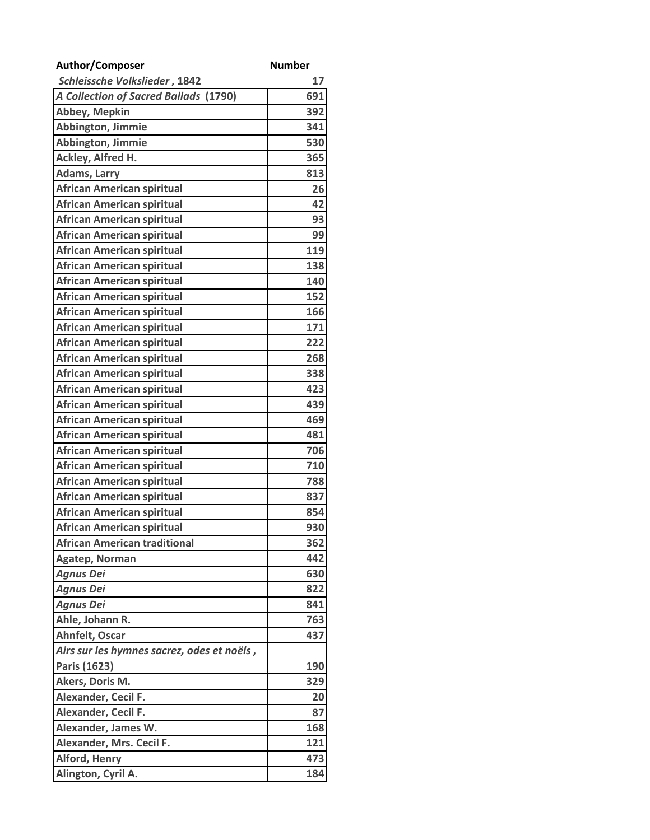| Author/Composer                            | <b>Number</b> |
|--------------------------------------------|---------------|
| Schleissche Volkslieder, 1842              | 17            |
| A Collection of Sacred Ballads (1790)      | 691           |
| Abbey, Mepkin                              | 392           |
| Abbington, Jimmie                          | 341           |
| Abbington, Jimmie                          | 530           |
| Ackley, Alfred H.                          | 365           |
| <b>Adams, Larry</b>                        | 813           |
| <b>African American spiritual</b>          | 26            |
| <b>African American spiritual</b>          | 42            |
| <b>African American spiritual</b>          | 93            |
| <b>African American spiritual</b>          | 99            |
| <b>African American spiritual</b>          | 119           |
| <b>African American spiritual</b>          | 138           |
| <b>African American spiritual</b>          | 140           |
| <b>African American spiritual</b>          | 152           |
| <b>African American spiritual</b>          | 166           |
| <b>African American spiritual</b>          | 171           |
| <b>African American spiritual</b>          | 222           |
| <b>African American spiritual</b>          | 268           |
| <b>African American spiritual</b>          | 338           |
| <b>African American spiritual</b>          | 423           |
| <b>African American spiritual</b>          | 439           |
| <b>African American spiritual</b>          | 469           |
| <b>African American spiritual</b>          | 481           |
| <b>African American spiritual</b>          | 706           |
| <b>African American spiritual</b>          | 710           |
| <b>African American spiritual</b>          | 788           |
| <b>African American spiritual</b>          | 837           |
| <b>African American spiritual</b>          | 854           |
| <b>African American spiritual</b>          | 930           |
| <b>African American traditional</b>        | 362           |
| Agatep, Norman                             | 442           |
| <b>Agnus Dei</b>                           | 630           |
| <b>Agnus Dei</b>                           | 822           |
| <b>Agnus Dei</b>                           | 841           |
| Ahle, Johann R.                            | 763           |
| Ahnfelt, Oscar                             | 437           |
| Airs sur les hymnes sacrez, odes et noëls, |               |
| Paris (1623)                               | 190           |
| Akers, Doris M.                            | 329           |
| Alexander, Cecil F.                        | 20            |
| Alexander, Cecil F.                        | 87            |
| Alexander, James W.                        | 168           |
| Alexander, Mrs. Cecil F.                   | 121           |
| <b>Alford, Henry</b>                       | 473           |
| Alington, Cyril A.                         | 184           |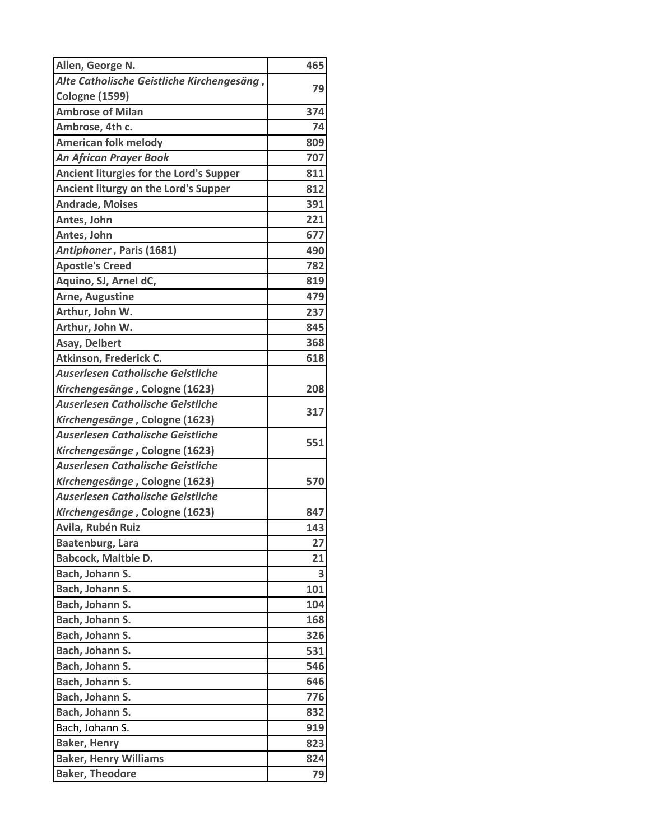| Allen, George N.                           | 465 |
|--------------------------------------------|-----|
| Alte Catholische Geistliche Kirchengesäng, |     |
| <b>Cologne (1599)</b>                      | 79  |
| <b>Ambrose of Milan</b>                    | 374 |
| Ambrose, 4th c.                            | 74  |
| <b>American folk melody</b>                | 809 |
| <b>An African Prayer Book</b>              | 707 |
| Ancient liturgies for the Lord's Supper    | 811 |
| Ancient liturgy on the Lord's Supper       | 812 |
| <b>Andrade, Moises</b>                     | 391 |
| Antes, John                                | 221 |
| Antes, John                                | 677 |
| Antiphoner, Paris (1681)                   | 490 |
| <b>Apostle's Creed</b>                     | 782 |
| Aquino, SJ, Arnel dC,                      | 819 |
| <b>Arne, Augustine</b>                     | 479 |
| Arthur, John W.                            | 237 |
| Arthur, John W.                            | 845 |
| Asay, Delbert                              | 368 |
| Atkinson, Frederick C.                     | 618 |
| <b>Auserlesen Catholische Geistliche</b>   |     |
| Kirchengesänge, Cologne (1623)             | 208 |
| <b>Auserlesen Catholische Geistliche</b>   |     |
| Kirchengesänge, Cologne (1623)             | 317 |
| <b>Auserlesen Catholische Geistliche</b>   |     |
| Kirchengesänge, Cologne (1623)             | 551 |
| <b>Auserlesen Catholische Geistliche</b>   |     |
| Kirchengesänge, Cologne (1623)             | 570 |
| Auserlesen Catholische Geistliche          |     |
| Kirchengesänge, Cologne (1623)             | 847 |
| Avila, Rubén Ruiz                          | 143 |
| <b>Baatenburg, Lara</b>                    | 27  |
| <b>Babcock, Maltbie D.</b>                 | 21  |
| Bach, Johann S.                            | 3   |
| Bach, Johann S.                            | 101 |
| Bach, Johann S.                            | 104 |
| Bach, Johann S.                            | 168 |
| Bach, Johann S.                            | 326 |
| Bach, Johann S.                            | 531 |
| Bach, Johann S.                            | 546 |
| Bach, Johann S.                            | 646 |
| Bach, Johann S.                            | 776 |
| Bach, Johann S.                            | 832 |
| Bach, Johann S.                            | 919 |
| <b>Baker, Henry</b>                        | 823 |
| <b>Baker, Henry Williams</b>               | 824 |
| <b>Baker, Theodore</b>                     | 79  |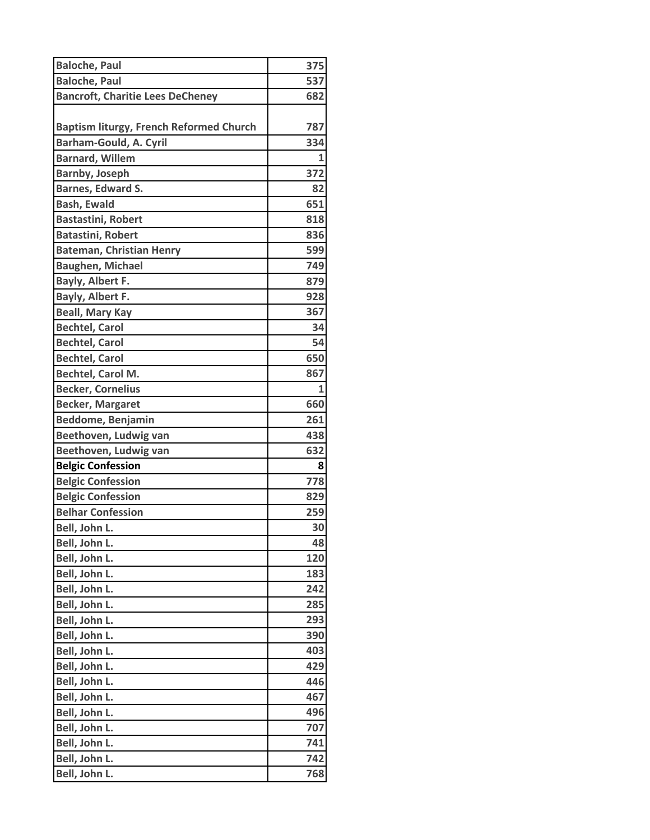| <b>Baloche, Paul</b>                           | 375 |
|------------------------------------------------|-----|
| <b>Baloche, Paul</b>                           | 537 |
| <b>Bancroft, Charitie Lees DeCheney</b>        | 682 |
|                                                |     |
| <b>Baptism liturgy, French Reformed Church</b> | 787 |
| <b>Barham-Gould, A. Cyril</b>                  | 334 |
| <b>Barnard, Willem</b>                         | 1   |
| <b>Barnby, Joseph</b>                          | 372 |
| <b>Barnes, Edward S.</b>                       | 82  |
| <b>Bash, Ewald</b>                             | 651 |
| <b>Bastastini, Robert</b>                      | 818 |
| <b>Batastini, Robert</b>                       | 836 |
| <b>Bateman, Christian Henry</b>                | 599 |
| <b>Baughen, Michael</b>                        | 749 |
| Bayly, Albert F.                               | 879 |
| Bayly, Albert F.                               | 928 |
| <b>Beall, Mary Kay</b>                         | 367 |
| <b>Bechtel, Carol</b>                          | 34  |
| <b>Bechtel, Carol</b>                          | 54  |
| <b>Bechtel, Carol</b>                          | 650 |
| <b>Bechtel, Carol M.</b>                       | 867 |
| <b>Becker, Cornelius</b>                       | 1   |
| <b>Becker, Margaret</b>                        | 660 |
| <b>Beddome, Benjamin</b>                       | 261 |
| Beethoven, Ludwig van                          | 438 |
| Beethoven, Ludwig van                          | 632 |
| <b>Belgic Confession</b>                       | 8   |
| <b>Belgic Confession</b>                       | 778 |
| <b>Belgic Confession</b>                       | 829 |
| <b>Belhar Confession</b>                       | 259 |
| Bell, John L.                                  | 30  |
| Bell, John L.                                  | 48  |
| Bell, John L.                                  | 120 |
| Bell, John L.                                  | 183 |
| Bell, John L.                                  | 242 |
| Bell, John L.                                  | 285 |
| Bell, John L.                                  | 293 |
| Bell, John L.                                  | 390 |
| Bell, John L.                                  | 403 |
| Bell, John L.                                  | 429 |
| Bell, John L.                                  | 446 |
| Bell, John L.                                  | 467 |
| Bell, John L.                                  | 496 |
| Bell, John L.                                  | 707 |
| Bell, John L.                                  | 741 |
| Bell, John L.                                  | 742 |
| Bell, John L.                                  | 768 |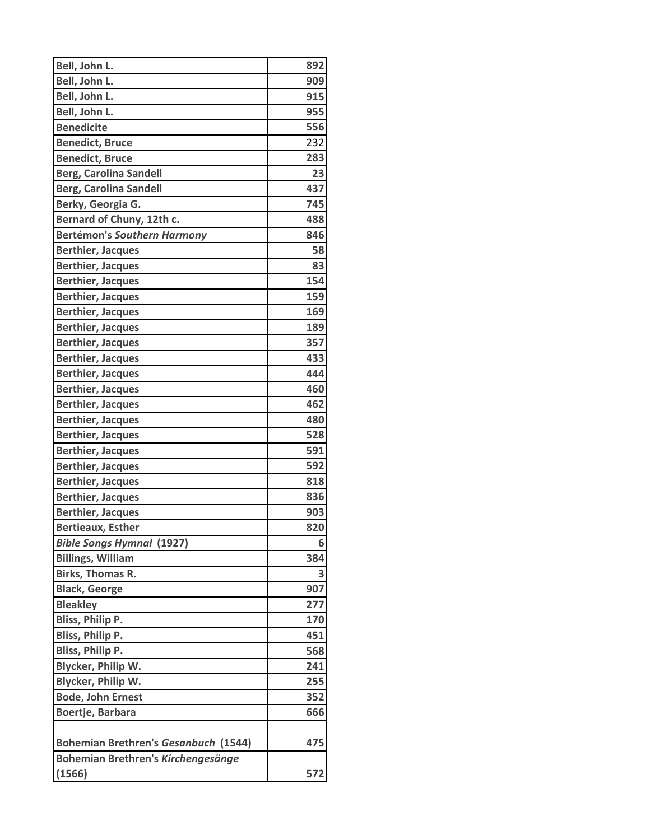| Bell, John L.<br>909<br>Bell, John L.<br>915<br>955<br>Bell, John L.<br><b>Benedicite</b><br>556<br><b>Benedict, Bruce</b><br>232<br><b>Benedict, Bruce</b><br>283<br><b>Berg, Carolina Sandell</b><br>23<br><b>Berg, Carolina Sandell</b><br>437<br>Berky, Georgia G.<br>745<br>Bernard of Chuny, 12th c.<br>488<br><b>Bertémon's Southern Harmony</b><br>846<br>58<br><b>Berthier, Jacques</b><br><b>Berthier, Jacques</b><br>83<br>154<br><b>Berthier, Jacques</b><br>159<br><b>Berthier, Jacques</b><br>169<br><b>Berthier, Jacques</b><br>189<br><b>Berthier, Jacques</b><br>357<br><b>Berthier, Jacques</b><br><b>Berthier, Jacques</b><br>433<br><b>Berthier, Jacques</b><br>444<br><b>Berthier, Jacques</b><br>460<br>462<br><b>Berthier, Jacques</b><br><b>Berthier, Jacques</b><br>480<br>528<br><b>Berthier, Jacques</b><br><b>Berthier, Jacques</b><br>591<br>592<br><b>Berthier, Jacques</b><br><b>Berthier, Jacques</b><br>818<br>836<br><b>Berthier, Jacques</b><br><b>Berthier, Jacques</b><br>903<br><b>Bertieaux, Esther</b><br>820<br><b>Bible Songs Hymnal (1927)</b><br>6<br><b>Billings, William</b><br>384<br>3<br>Birks, Thomas R.<br><b>Black, George</b><br>907<br><b>Bleakley</b><br>277<br><b>Bliss, Philip P.</b><br>170<br>Bliss, Philip P.<br>451<br>Bliss, Philip P.<br>568<br>Blycker, Philip W.<br>241<br>Blycker, Philip W.<br>255<br><b>Bode, John Ernest</b><br>352<br>Boertje, Barbara<br>666<br><b>Bohemian Brethren's Gesanbuch (1544)</b><br>475<br>Bohemian Brethren's Kirchengesänge<br>(1566)<br>572 | Bell, John L. | 892 |
|--------------------------------------------------------------------------------------------------------------------------------------------------------------------------------------------------------------------------------------------------------------------------------------------------------------------------------------------------------------------------------------------------------------------------------------------------------------------------------------------------------------------------------------------------------------------------------------------------------------------------------------------------------------------------------------------------------------------------------------------------------------------------------------------------------------------------------------------------------------------------------------------------------------------------------------------------------------------------------------------------------------------------------------------------------------------------------------------------------------------------------------------------------------------------------------------------------------------------------------------------------------------------------------------------------------------------------------------------------------------------------------------------------------------------------------------------------------------------------------------------------------------------------------------------|---------------|-----|
|                                                                                                                                                                                                                                                                                                                                                                                                                                                                                                                                                                                                                                                                                                                                                                                                                                                                                                                                                                                                                                                                                                                                                                                                                                                                                                                                                                                                                                                                                                                                                  |               |     |
|                                                                                                                                                                                                                                                                                                                                                                                                                                                                                                                                                                                                                                                                                                                                                                                                                                                                                                                                                                                                                                                                                                                                                                                                                                                                                                                                                                                                                                                                                                                                                  |               |     |
|                                                                                                                                                                                                                                                                                                                                                                                                                                                                                                                                                                                                                                                                                                                                                                                                                                                                                                                                                                                                                                                                                                                                                                                                                                                                                                                                                                                                                                                                                                                                                  |               |     |
|                                                                                                                                                                                                                                                                                                                                                                                                                                                                                                                                                                                                                                                                                                                                                                                                                                                                                                                                                                                                                                                                                                                                                                                                                                                                                                                                                                                                                                                                                                                                                  |               |     |
|                                                                                                                                                                                                                                                                                                                                                                                                                                                                                                                                                                                                                                                                                                                                                                                                                                                                                                                                                                                                                                                                                                                                                                                                                                                                                                                                                                                                                                                                                                                                                  |               |     |
|                                                                                                                                                                                                                                                                                                                                                                                                                                                                                                                                                                                                                                                                                                                                                                                                                                                                                                                                                                                                                                                                                                                                                                                                                                                                                                                                                                                                                                                                                                                                                  |               |     |
|                                                                                                                                                                                                                                                                                                                                                                                                                                                                                                                                                                                                                                                                                                                                                                                                                                                                                                                                                                                                                                                                                                                                                                                                                                                                                                                                                                                                                                                                                                                                                  |               |     |
|                                                                                                                                                                                                                                                                                                                                                                                                                                                                                                                                                                                                                                                                                                                                                                                                                                                                                                                                                                                                                                                                                                                                                                                                                                                                                                                                                                                                                                                                                                                                                  |               |     |
|                                                                                                                                                                                                                                                                                                                                                                                                                                                                                                                                                                                                                                                                                                                                                                                                                                                                                                                                                                                                                                                                                                                                                                                                                                                                                                                                                                                                                                                                                                                                                  |               |     |
|                                                                                                                                                                                                                                                                                                                                                                                                                                                                                                                                                                                                                                                                                                                                                                                                                                                                                                                                                                                                                                                                                                                                                                                                                                                                                                                                                                                                                                                                                                                                                  |               |     |
|                                                                                                                                                                                                                                                                                                                                                                                                                                                                                                                                                                                                                                                                                                                                                                                                                                                                                                                                                                                                                                                                                                                                                                                                                                                                                                                                                                                                                                                                                                                                                  |               |     |
|                                                                                                                                                                                                                                                                                                                                                                                                                                                                                                                                                                                                                                                                                                                                                                                                                                                                                                                                                                                                                                                                                                                                                                                                                                                                                                                                                                                                                                                                                                                                                  |               |     |
|                                                                                                                                                                                                                                                                                                                                                                                                                                                                                                                                                                                                                                                                                                                                                                                                                                                                                                                                                                                                                                                                                                                                                                                                                                                                                                                                                                                                                                                                                                                                                  |               |     |
|                                                                                                                                                                                                                                                                                                                                                                                                                                                                                                                                                                                                                                                                                                                                                                                                                                                                                                                                                                                                                                                                                                                                                                                                                                                                                                                                                                                                                                                                                                                                                  |               |     |
|                                                                                                                                                                                                                                                                                                                                                                                                                                                                                                                                                                                                                                                                                                                                                                                                                                                                                                                                                                                                                                                                                                                                                                                                                                                                                                                                                                                                                                                                                                                                                  |               |     |
|                                                                                                                                                                                                                                                                                                                                                                                                                                                                                                                                                                                                                                                                                                                                                                                                                                                                                                                                                                                                                                                                                                                                                                                                                                                                                                                                                                                                                                                                                                                                                  |               |     |
|                                                                                                                                                                                                                                                                                                                                                                                                                                                                                                                                                                                                                                                                                                                                                                                                                                                                                                                                                                                                                                                                                                                                                                                                                                                                                                                                                                                                                                                                                                                                                  |               |     |
|                                                                                                                                                                                                                                                                                                                                                                                                                                                                                                                                                                                                                                                                                                                                                                                                                                                                                                                                                                                                                                                                                                                                                                                                                                                                                                                                                                                                                                                                                                                                                  |               |     |
|                                                                                                                                                                                                                                                                                                                                                                                                                                                                                                                                                                                                                                                                                                                                                                                                                                                                                                                                                                                                                                                                                                                                                                                                                                                                                                                                                                                                                                                                                                                                                  |               |     |
|                                                                                                                                                                                                                                                                                                                                                                                                                                                                                                                                                                                                                                                                                                                                                                                                                                                                                                                                                                                                                                                                                                                                                                                                                                                                                                                                                                                                                                                                                                                                                  |               |     |
|                                                                                                                                                                                                                                                                                                                                                                                                                                                                                                                                                                                                                                                                                                                                                                                                                                                                                                                                                                                                                                                                                                                                                                                                                                                                                                                                                                                                                                                                                                                                                  |               |     |
|                                                                                                                                                                                                                                                                                                                                                                                                                                                                                                                                                                                                                                                                                                                                                                                                                                                                                                                                                                                                                                                                                                                                                                                                                                                                                                                                                                                                                                                                                                                                                  |               |     |
|                                                                                                                                                                                                                                                                                                                                                                                                                                                                                                                                                                                                                                                                                                                                                                                                                                                                                                                                                                                                                                                                                                                                                                                                                                                                                                                                                                                                                                                                                                                                                  |               |     |
|                                                                                                                                                                                                                                                                                                                                                                                                                                                                                                                                                                                                                                                                                                                                                                                                                                                                                                                                                                                                                                                                                                                                                                                                                                                                                                                                                                                                                                                                                                                                                  |               |     |
|                                                                                                                                                                                                                                                                                                                                                                                                                                                                                                                                                                                                                                                                                                                                                                                                                                                                                                                                                                                                                                                                                                                                                                                                                                                                                                                                                                                                                                                                                                                                                  |               |     |
|                                                                                                                                                                                                                                                                                                                                                                                                                                                                                                                                                                                                                                                                                                                                                                                                                                                                                                                                                                                                                                                                                                                                                                                                                                                                                                                                                                                                                                                                                                                                                  |               |     |
|                                                                                                                                                                                                                                                                                                                                                                                                                                                                                                                                                                                                                                                                                                                                                                                                                                                                                                                                                                                                                                                                                                                                                                                                                                                                                                                                                                                                                                                                                                                                                  |               |     |
|                                                                                                                                                                                                                                                                                                                                                                                                                                                                                                                                                                                                                                                                                                                                                                                                                                                                                                                                                                                                                                                                                                                                                                                                                                                                                                                                                                                                                                                                                                                                                  |               |     |
|                                                                                                                                                                                                                                                                                                                                                                                                                                                                                                                                                                                                                                                                                                                                                                                                                                                                                                                                                                                                                                                                                                                                                                                                                                                                                                                                                                                                                                                                                                                                                  |               |     |
|                                                                                                                                                                                                                                                                                                                                                                                                                                                                                                                                                                                                                                                                                                                                                                                                                                                                                                                                                                                                                                                                                                                                                                                                                                                                                                                                                                                                                                                                                                                                                  |               |     |
|                                                                                                                                                                                                                                                                                                                                                                                                                                                                                                                                                                                                                                                                                                                                                                                                                                                                                                                                                                                                                                                                                                                                                                                                                                                                                                                                                                                                                                                                                                                                                  |               |     |
|                                                                                                                                                                                                                                                                                                                                                                                                                                                                                                                                                                                                                                                                                                                                                                                                                                                                                                                                                                                                                                                                                                                                                                                                                                                                                                                                                                                                                                                                                                                                                  |               |     |
|                                                                                                                                                                                                                                                                                                                                                                                                                                                                                                                                                                                                                                                                                                                                                                                                                                                                                                                                                                                                                                                                                                                                                                                                                                                                                                                                                                                                                                                                                                                                                  |               |     |
|                                                                                                                                                                                                                                                                                                                                                                                                                                                                                                                                                                                                                                                                                                                                                                                                                                                                                                                                                                                                                                                                                                                                                                                                                                                                                                                                                                                                                                                                                                                                                  |               |     |
|                                                                                                                                                                                                                                                                                                                                                                                                                                                                                                                                                                                                                                                                                                                                                                                                                                                                                                                                                                                                                                                                                                                                                                                                                                                                                                                                                                                                                                                                                                                                                  |               |     |
|                                                                                                                                                                                                                                                                                                                                                                                                                                                                                                                                                                                                                                                                                                                                                                                                                                                                                                                                                                                                                                                                                                                                                                                                                                                                                                                                                                                                                                                                                                                                                  |               |     |
|                                                                                                                                                                                                                                                                                                                                                                                                                                                                                                                                                                                                                                                                                                                                                                                                                                                                                                                                                                                                                                                                                                                                                                                                                                                                                                                                                                                                                                                                                                                                                  |               |     |
|                                                                                                                                                                                                                                                                                                                                                                                                                                                                                                                                                                                                                                                                                                                                                                                                                                                                                                                                                                                                                                                                                                                                                                                                                                                                                                                                                                                                                                                                                                                                                  |               |     |
|                                                                                                                                                                                                                                                                                                                                                                                                                                                                                                                                                                                                                                                                                                                                                                                                                                                                                                                                                                                                                                                                                                                                                                                                                                                                                                                                                                                                                                                                                                                                                  |               |     |
|                                                                                                                                                                                                                                                                                                                                                                                                                                                                                                                                                                                                                                                                                                                                                                                                                                                                                                                                                                                                                                                                                                                                                                                                                                                                                                                                                                                                                                                                                                                                                  |               |     |
|                                                                                                                                                                                                                                                                                                                                                                                                                                                                                                                                                                                                                                                                                                                                                                                                                                                                                                                                                                                                                                                                                                                                                                                                                                                                                                                                                                                                                                                                                                                                                  |               |     |
|                                                                                                                                                                                                                                                                                                                                                                                                                                                                                                                                                                                                                                                                                                                                                                                                                                                                                                                                                                                                                                                                                                                                                                                                                                                                                                                                                                                                                                                                                                                                                  |               |     |
|                                                                                                                                                                                                                                                                                                                                                                                                                                                                                                                                                                                                                                                                                                                                                                                                                                                                                                                                                                                                                                                                                                                                                                                                                                                                                                                                                                                                                                                                                                                                                  |               |     |
|                                                                                                                                                                                                                                                                                                                                                                                                                                                                                                                                                                                                                                                                                                                                                                                                                                                                                                                                                                                                                                                                                                                                                                                                                                                                                                                                                                                                                                                                                                                                                  |               |     |
|                                                                                                                                                                                                                                                                                                                                                                                                                                                                                                                                                                                                                                                                                                                                                                                                                                                                                                                                                                                                                                                                                                                                                                                                                                                                                                                                                                                                                                                                                                                                                  |               |     |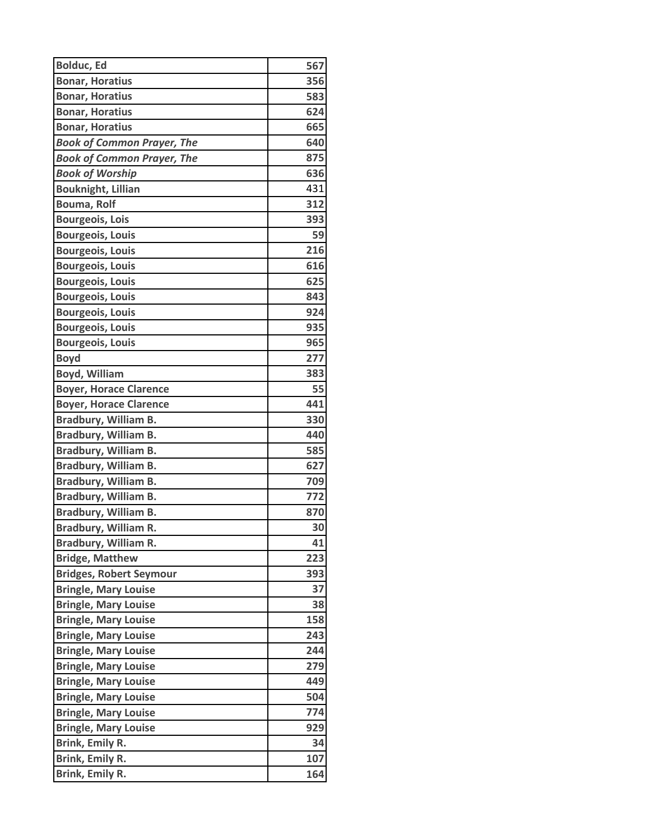| <b>Bolduc, Ed</b>                 | 567             |
|-----------------------------------|-----------------|
| <b>Bonar, Horatius</b>            | 356             |
| <b>Bonar, Horatius</b>            | 583             |
| <b>Bonar, Horatius</b>            | 624             |
| <b>Bonar, Horatius</b>            | 665             |
| <b>Book of Common Prayer, The</b> | 640             |
| <b>Book of Common Prayer, The</b> | 875             |
| <b>Book of Worship</b>            | 636             |
| <b>Bouknight, Lillian</b>         | 431             |
| <b>Bouma, Rolf</b>                | 312             |
| <b>Bourgeois, Lois</b>            | 393             |
| <b>Bourgeois, Louis</b>           | 59              |
| <b>Bourgeois, Louis</b>           | 216             |
| <b>Bourgeois, Louis</b>           | 616             |
| <b>Bourgeois, Louis</b>           | 625             |
| <b>Bourgeois, Louis</b>           | 843             |
| <b>Bourgeois, Louis</b>           | 924             |
| <b>Bourgeois, Louis</b>           | 935             |
| <b>Bourgeois, Louis</b>           | 965             |
| <b>Boyd</b>                       | 277             |
| <b>Boyd, William</b>              | 383             |
| <b>Boyer, Horace Clarence</b>     | 55              |
| <b>Boyer, Horace Clarence</b>     | 441             |
| Bradbury, William B.              | 330             |
| Bradbury, William B.              | 440             |
| Bradbury, William B.              | 585             |
| Bradbury, William B.              | 627             |
| Bradbury, William B.              | 709             |
| Bradbury, William B.              | 772             |
| Bradbury, William B.              | 870             |
| <b>Bradbury, William R.</b>       | 30 <sup>1</sup> |
| Bradbury, William R.              | 41              |
| <b>Bridge, Matthew</b>            | 223             |
| <b>Bridges, Robert Seymour</b>    | 393             |
| <b>Bringle, Mary Louise</b>       | 37              |
| <b>Bringle, Mary Louise</b>       | 38              |
| <b>Bringle, Mary Louise</b>       | 158             |
| <b>Bringle, Mary Louise</b>       | 243             |
| <b>Bringle, Mary Louise</b>       | 244             |
| <b>Bringle, Mary Louise</b>       | 279             |
| <b>Bringle, Mary Louise</b>       | 449             |
| <b>Bringle, Mary Louise</b>       | 504             |
| <b>Bringle, Mary Louise</b>       | 774             |
| <b>Bringle, Mary Louise</b>       | 929             |
| Brink, Emily R.                   | 34              |
| Brink, Emily R.                   | 107             |
| Brink, Emily R.                   | 164             |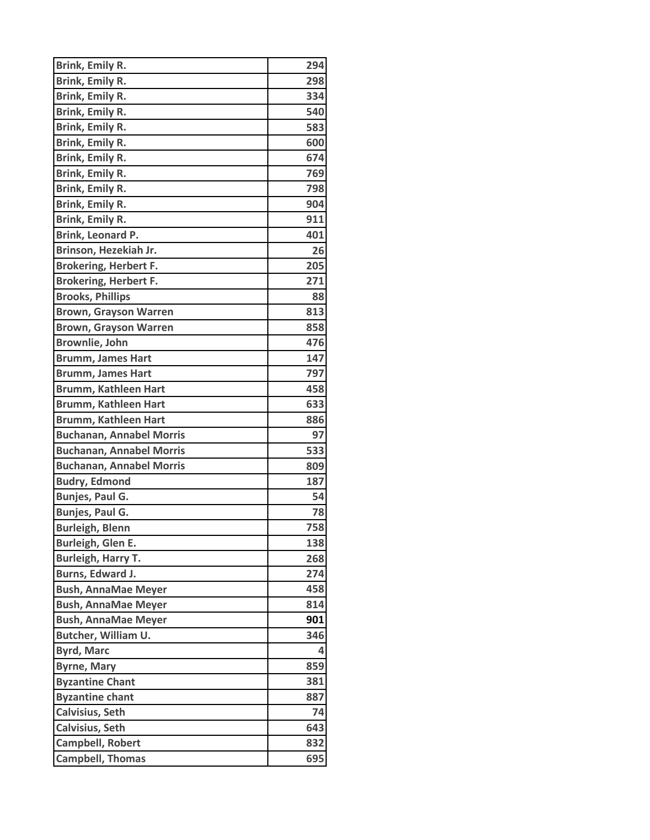| Brink, Emily R.                 | 294 |
|---------------------------------|-----|
| Brink, Emily R.                 | 298 |
| <b>Brink, Emily R.</b>          | 334 |
| Brink, Emily R.                 | 540 |
| Brink, Emily R.                 | 583 |
| Brink, Emily R.                 | 600 |
| Brink, Emily R.                 | 674 |
| Brink, Emily R.                 | 769 |
| Brink, Emily R.                 | 798 |
| <b>Brink, Emily R.</b>          | 904 |
| Brink, Emily R.                 | 911 |
| Brink, Leonard P.               | 401 |
| Brinson, Hezekiah Jr.           | 26  |
| <b>Brokering, Herbert F.</b>    | 205 |
| <b>Brokering, Herbert F.</b>    | 271 |
| <b>Brooks, Phillips</b>         | 88  |
| <b>Brown, Grayson Warren</b>    | 813 |
| <b>Brown, Grayson Warren</b>    | 858 |
| <b>Brownlie, John</b>           | 476 |
| <b>Brumm, James Hart</b>        | 147 |
| <b>Brumm, James Hart</b>        | 797 |
| <b>Brumm, Kathleen Hart</b>     | 458 |
| <b>Brumm, Kathleen Hart</b>     | 633 |
| <b>Brumm, Kathleen Hart</b>     | 886 |
| <b>Buchanan, Annabel Morris</b> | 97  |
| <b>Buchanan, Annabel Morris</b> | 533 |
| <b>Buchanan, Annabel Morris</b> | 809 |
| <b>Budry, Edmond</b>            | 187 |
| Bunjes, Paul G.                 | 54  |
| Bunjes, Paul G.                 | 78  |
| <b>Burleigh, Blenn</b>          | 758 |
| Burleigh, Glen E.               | 138 |
| <b>Burleigh, Harry T.</b>       | 268 |
| Burns, Edward J.                | 274 |
| <b>Bush, AnnaMae Meyer</b>      | 458 |
| <b>Bush, AnnaMae Meyer</b>      | 814 |
| <b>Bush, AnnaMae Meyer</b>      | 901 |
| Butcher, William U.             | 346 |
| <b>Byrd, Marc</b>               | 4   |
| <b>Byrne, Mary</b>              | 859 |
| <b>Byzantine Chant</b>          | 381 |
| <b>Byzantine chant</b>          | 887 |
| <b>Calvisius, Seth</b>          | 74  |
| <b>Calvisius, Seth</b>          | 643 |
| Campbell, Robert                | 832 |
| <b>Campbell, Thomas</b>         | 695 |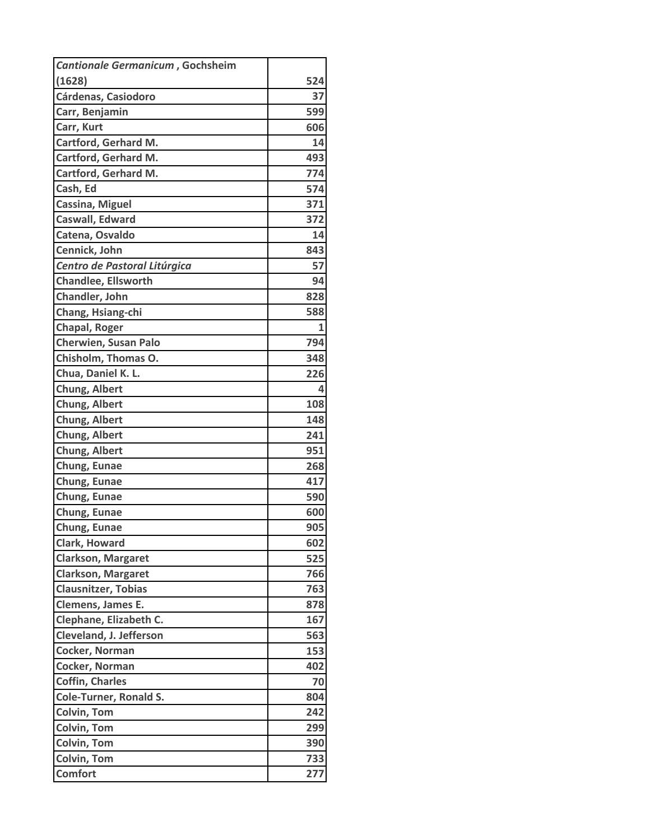| Cantionale Germanicum, Gochsheim |     |
|----------------------------------|-----|
| (1628)                           | 524 |
| Cárdenas, Casiodoro              | 37  |
| Carr, Benjamin                   | 599 |
| Carr, Kurt                       | 606 |
| Cartford, Gerhard M.             | 14  |
| Cartford, Gerhard M.             | 493 |
| Cartford, Gerhard M.             | 774 |
| Cash, Ed                         | 574 |
| Cassina, Miguel                  | 371 |
| Caswall, Edward                  | 372 |
| Catena, Osvaldo                  | 14  |
| Cennick, John                    | 843 |
| Centro de Pastoral Litúrgica     | 57  |
| <b>Chandlee, Ellsworth</b>       | 94  |
| Chandler, John                   | 828 |
| Chang, Hsiang-chi                | 588 |
| Chapal, Roger                    | 1   |
| <b>Cherwien, Susan Palo</b>      | 794 |
| Chisholm, Thomas O.              | 348 |
| Chua, Daniel K. L.               | 226 |
| Chung, Albert                    | 4   |
| Chung, Albert                    | 108 |
| Chung, Albert                    | 148 |
| Chung, Albert                    | 241 |
| Chung, Albert                    | 951 |
| Chung, Eunae                     | 268 |
| Chung, Eunae                     | 417 |
| Chung, Eunae                     | 590 |
| Chung, Eunae                     | 600 |
| Chung, Eunae                     | 905 |
| Clark, Howard                    | 602 |
| <b>Clarkson, Margaret</b>        | 525 |
| <b>Clarkson, Margaret</b>        | 766 |
| <b>Clausnitzer, Tobias</b>       | 763 |
| Clemens, James E.                | 878 |
| Clephane, Elizabeth C.           | 167 |
| Cleveland, J. Jefferson          | 563 |
| Cocker, Norman                   | 153 |
| Cocker, Norman                   | 402 |
| <b>Coffin, Charles</b>           | 70  |
| <b>Cole-Turner, Ronald S.</b>    | 804 |
| Colvin, Tom                      | 242 |
| <b>Colvin, Tom</b>               | 299 |
| <b>Colvin, Tom</b>               | 390 |
| <b>Colvin, Tom</b>               | 733 |
| <b>Comfort</b>                   | 277 |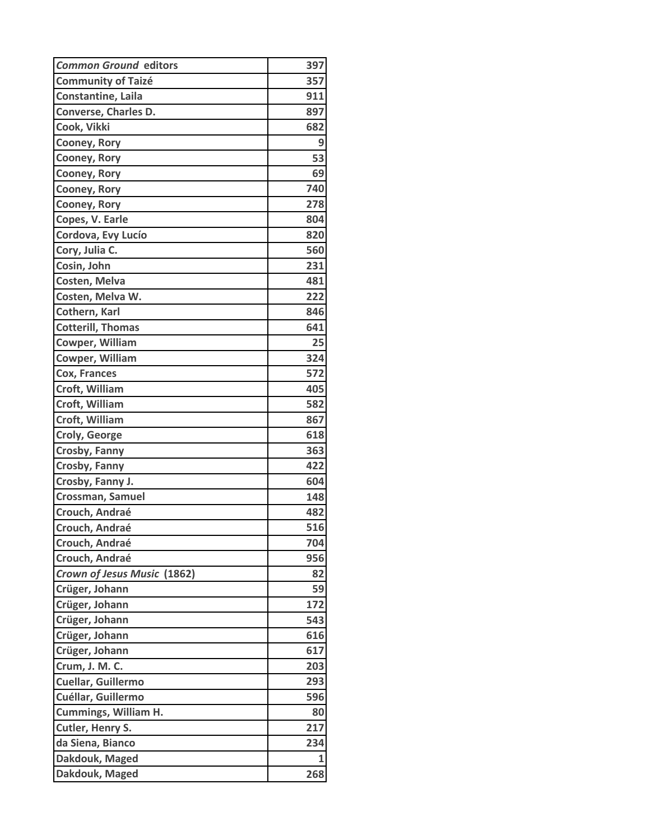| <b>Common Ground editors</b> | 397 |
|------------------------------|-----|
| <b>Community of Taizé</b>    | 357 |
| Constantine, Laila           | 911 |
| Converse, Charles D.         | 897 |
| Cook, Vikki                  | 682 |
| Cooney, Rory                 | 9   |
| Cooney, Rory                 | 53  |
| Cooney, Rory                 | 69  |
| Cooney, Rory                 | 740 |
| Cooney, Rory                 | 278 |
| Copes, V. Earle              | 804 |
| Cordova, Evy Lucío           | 820 |
| Cory, Julia C.               | 560 |
| Cosin, John                  | 231 |
| Costen, Melva                | 481 |
| Costen, Melva W.             | 222 |
| Cothern, Karl                | 846 |
| <b>Cotterill, Thomas</b>     | 641 |
| <b>Cowper, William</b>       | 25  |
| <b>Cowper, William</b>       | 324 |
| Cox, Frances                 | 572 |
| Croft, William               | 405 |
| Croft, William               | 582 |
| Croft, William               | 867 |
| <b>Croly, George</b>         | 618 |
| Crosby, Fanny                | 363 |
| Crosby, Fanny                | 422 |
| Crosby, Fanny J.             | 604 |
| Crossman, Samuel             | 148 |
| Crouch, Andraé               | 482 |
| Crouch, Andraé               | 516 |
| Crouch, Andraé               | 704 |
| Crouch, Andraé               | 956 |
| Crown of Jesus Music (1862)  | 82  |
| Crüger, Johann               | 59  |
| Crüger, Johann               | 172 |
| Crüger, Johann               | 543 |
| Crüger, Johann               | 616 |
| Crüger, Johann               | 617 |
| Crum, J. M. C.               | 203 |
| Cuellar, Guillermo           | 293 |
| Cuéllar, Guillermo           | 596 |
| <b>Cummings, William H.</b>  | 80  |
| Cutler, Henry S.             | 217 |
| da Siena, Bianco             | 234 |
| Dakdouk, Maged               | 1   |
| Dakdouk, Maged               | 268 |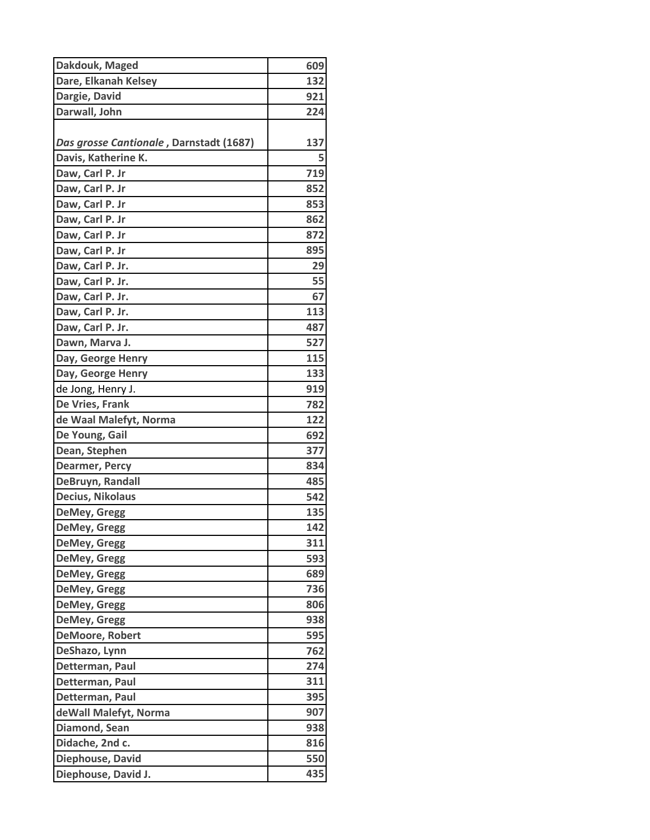| Dakdouk, Maged                          | 609 |
|-----------------------------------------|-----|
| Dare, Elkanah Kelsey                    | 132 |
| Dargie, David                           | 921 |
| Darwall, John                           | 224 |
|                                         |     |
| Das grosse Cantionale, Darnstadt (1687) | 137 |
| Davis, Katherine K.                     | 5   |
| Daw, Carl P. Jr                         | 719 |
| Daw, Carl P. Jr                         | 852 |
| Daw, Carl P. Jr                         | 853 |
| Daw, Carl P. Jr                         | 862 |
| Daw, Carl P. Jr                         | 872 |
| Daw, Carl P. Jr                         | 895 |
| Daw, Carl P. Jr.                        | 29  |
| Daw, Carl P. Jr.                        | 55  |
| Daw, Carl P. Jr.                        | 67  |
| Daw, Carl P. Jr.                        | 113 |
| Daw, Carl P. Jr.                        | 487 |
| Dawn, Marva J.                          | 527 |
| Day, George Henry                       | 115 |
| Day, George Henry                       | 133 |
| de Jong, Henry J.                       | 919 |
| De Vries, Frank                         | 782 |
| de Waal Malefyt, Norma                  | 122 |
| De Young, Gail                          | 692 |
| Dean, Stephen                           | 377 |
| <b>Dearmer, Percy</b>                   | 834 |
| DeBruyn, Randall                        | 485 |
| Decius, Nikolaus                        | 542 |
| DeMey, Gregg                            | 135 |
| DeMey, Gregg                            | 142 |
| DeMey, Gregg                            | 311 |
| DeMey, Gregg                            | 593 |
| <b>DeMey, Gregg</b>                     | 689 |
| <b>DeMey, Gregg</b>                     | 736 |
| DeMey, Gregg                            | 806 |
| DeMey, Gregg                            | 938 |
| <b>DeMoore, Robert</b>                  | 595 |
| DeShazo, Lynn                           | 762 |
| Detterman, Paul                         | 274 |
| Detterman, Paul                         | 311 |
| Detterman, Paul                         | 395 |
| deWall Malefyt, Norma                   | 907 |
| Diamond, Sean                           | 938 |
| Didache, 2nd c.                         | 816 |
| Diephouse, David                        | 550 |
| Diephouse, David J.                     | 435 |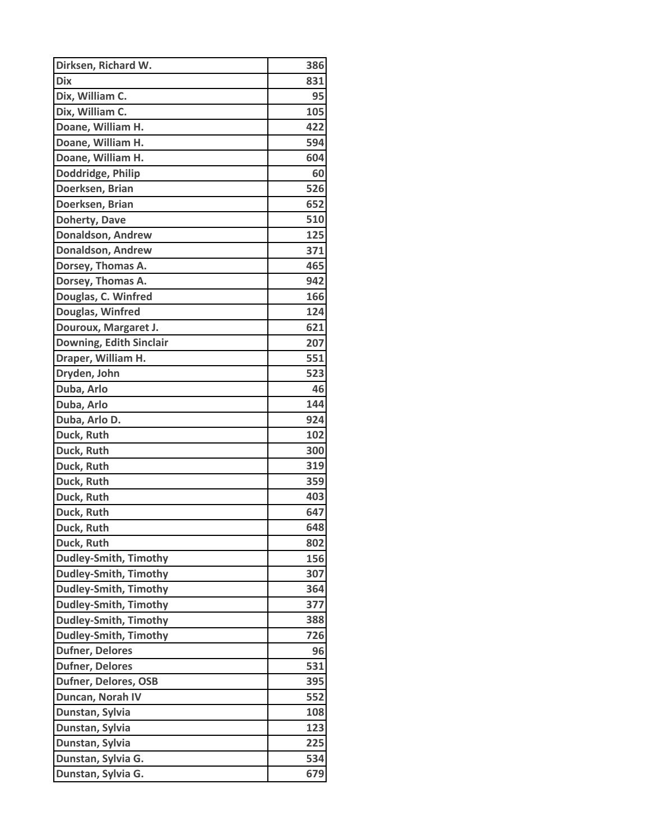| Dirksen, Richard W.          | 386 |
|------------------------------|-----|
| <b>Dix</b>                   | 831 |
| Dix, William C.              | 95  |
| Dix, William C.              | 105 |
| Doane, William H.            | 422 |
| Doane, William H.            | 594 |
| Doane, William H.            | 604 |
| Doddridge, Philip            | 60  |
| Doerksen, Brian              | 526 |
| Doerksen, Brian              | 652 |
| Doherty, Dave                | 510 |
| <b>Donaldson, Andrew</b>     | 125 |
| <b>Donaldson, Andrew</b>     | 371 |
| Dorsey, Thomas A.            | 465 |
| Dorsey, Thomas A.            | 942 |
| Douglas, C. Winfred          | 166 |
| Douglas, Winfred             | 124 |
| Douroux, Margaret J.         | 621 |
| Downing, Edith Sinclair      | 207 |
| Draper, William H.           | 551 |
| Dryden, John                 | 523 |
| Duba, Arlo                   | 46  |
| Duba, Arlo                   | 144 |
| Duba, Arlo D.                | 924 |
| Duck, Ruth                   | 102 |
| Duck, Ruth                   | 300 |
| Duck, Ruth                   | 319 |
| Duck, Ruth                   | 359 |
| Duck, Ruth                   | 403 |
| Duck, Ruth                   | 647 |
| Duck, Ruth                   | 648 |
| Duck, Ruth                   | 802 |
| <b>Dudley-Smith, Timothy</b> | 156 |
| <b>Dudley-Smith, Timothy</b> | 307 |
| <b>Dudley-Smith, Timothy</b> | 364 |
| <b>Dudley-Smith, Timothy</b> | 377 |
| <b>Dudley-Smith, Timothy</b> | 388 |
| <b>Dudley-Smith, Timothy</b> | 726 |
| <b>Dufner, Delores</b>       | 96  |
| <b>Dufner, Delores</b>       | 531 |
| Dufner, Delores, OSB         | 395 |
| Duncan, Norah IV             | 552 |
| Dunstan, Sylvia              | 108 |
| Dunstan, Sylvia              | 123 |
| Dunstan, Sylvia              | 225 |
| Dunstan, Sylvia G.           | 534 |
| Dunstan, Sylvia G.           | 679 |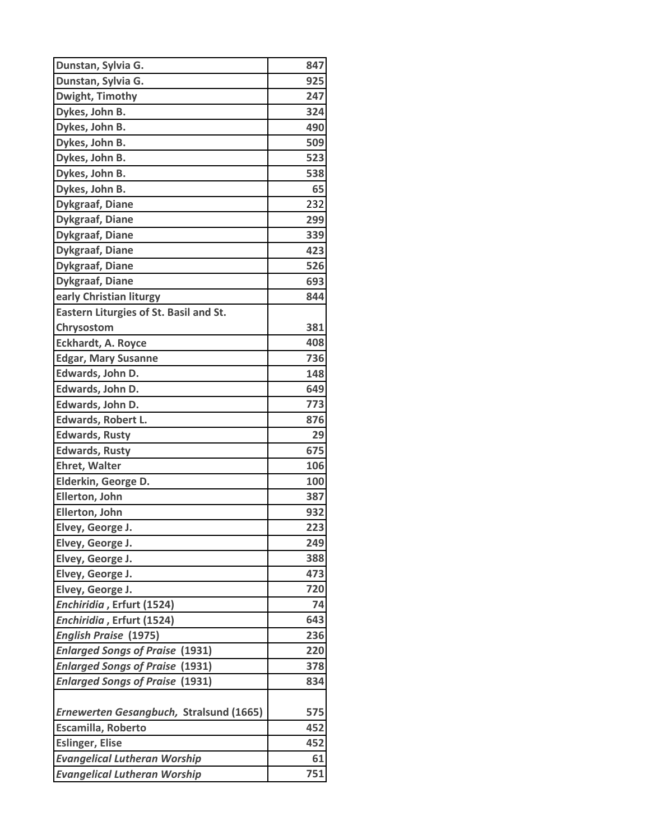| Dunstan, Sylvia G.                      | 847 |
|-----------------------------------------|-----|
| Dunstan, Sylvia G.                      | 925 |
| Dwight, Timothy                         | 247 |
| Dykes, John B.                          | 324 |
| Dykes, John B.                          | 490 |
| Dykes, John B.                          | 509 |
| Dykes, John B.                          | 523 |
| Dykes, John B.                          | 538 |
| Dykes, John B.                          | 65  |
| <b>Dykgraaf, Diane</b>                  | 232 |
| <b>Dykgraaf, Diane</b>                  | 299 |
| <b>Dykgraaf, Diane</b>                  | 339 |
| <b>Dykgraaf, Diane</b>                  | 423 |
| <b>Dykgraaf, Diane</b>                  | 526 |
| <b>Dykgraaf, Diane</b>                  | 693 |
| early Christian liturgy                 | 844 |
| Eastern Liturgies of St. Basil and St.  |     |
| Chrysostom                              | 381 |
| <b>Eckhardt, A. Royce</b>               | 408 |
| <b>Edgar, Mary Susanne</b>              | 736 |
| Edwards, John D.                        | 148 |
| Edwards, John D.                        | 649 |
| Edwards, John D.                        | 773 |
| Edwards, Robert L.                      | 876 |
| <b>Edwards, Rusty</b>                   | 29  |
| <b>Edwards, Rusty</b>                   | 675 |
| <b>Ehret, Walter</b>                    | 106 |
| Elderkin, George D.                     | 100 |
| Ellerton, John                          | 387 |
| Ellerton, John                          | 932 |
| Elvey, George J.                        | 223 |
| Elvey, George J.                        | 249 |
| Elvey, George J.                        | 388 |
| Elvey, George J.                        | 473 |
| Elvey, George J.                        | 720 |
| Enchiridia, Erfurt (1524)               | 74  |
| Enchiridia, Erfurt (1524)               | 643 |
| <b>English Praise (1975)</b>            | 236 |
| <b>Enlarged Songs of Praise (1931)</b>  | 220 |
| <b>Enlarged Songs of Praise (1931)</b>  | 378 |
| <b>Enlarged Songs of Praise (1931)</b>  | 834 |
|                                         |     |
| Ernewerten Gesangbuch, Stralsund (1665) | 575 |
| Escamilla, Roberto                      | 452 |
| <b>Eslinger, Elise</b>                  | 452 |
| <b>Evangelical Lutheran Worship</b>     | 61  |
| <b>Evangelical Lutheran Worship</b>     | 751 |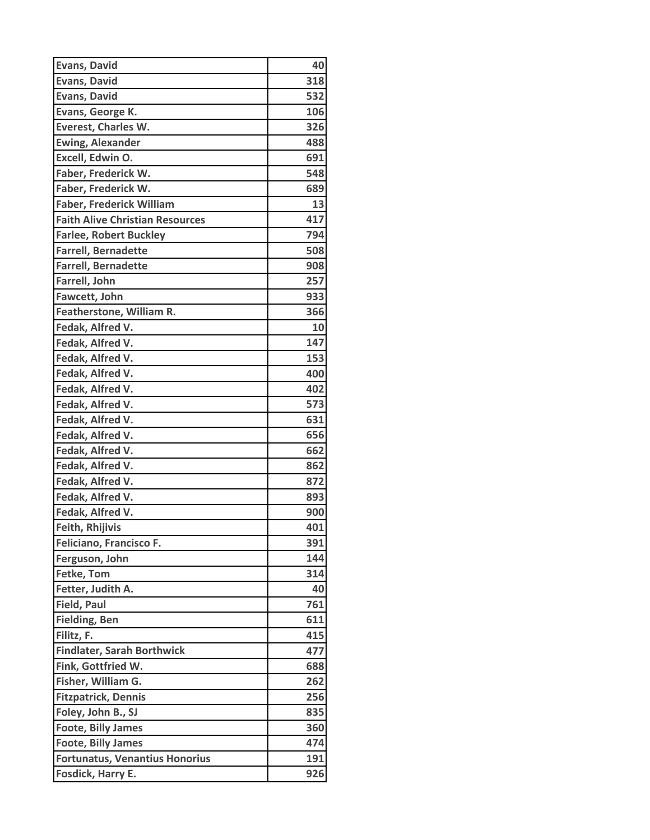| <b>Evans, David</b>                    | 40  |
|----------------------------------------|-----|
| <b>Evans, David</b>                    | 318 |
| <b>Evans, David</b>                    | 532 |
| Evans, George K.                       | 106 |
| <b>Everest, Charles W.</b>             | 326 |
| <b>Ewing, Alexander</b>                | 488 |
| Excell, Edwin O.                       | 691 |
| Faber, Frederick W.                    | 548 |
| Faber, Frederick W.                    | 689 |
| <b>Faber, Frederick William</b>        | 13  |
| <b>Faith Alive Christian Resources</b> | 417 |
| <b>Farlee, Robert Buckley</b>          | 794 |
| <b>Farrell, Bernadette</b>             | 508 |
| <b>Farrell, Bernadette</b>             | 908 |
| Farrell, John                          | 257 |
| Fawcett, John                          | 933 |
| Featherstone, William R.               | 366 |
| Fedak, Alfred V.                       | 10  |
| Fedak, Alfred V.                       | 147 |
| Fedak, Alfred V.                       | 153 |
| Fedak, Alfred V.                       | 400 |
| Fedak, Alfred V.                       | 402 |
| Fedak, Alfred V.                       | 573 |
| Fedak, Alfred V.                       | 631 |
| Fedak, Alfred V.                       | 656 |
| Fedak, Alfred V.                       | 662 |
| Fedak, Alfred V.                       | 862 |
| Fedak, Alfred V.                       | 872 |
| Fedak, Alfred V.                       | 893 |
| Fedak, Alfred V.                       | 900 |
| <b>Feith, Rhijivis</b>                 | 401 |
| Feliciano, Francisco F.                | 391 |
| Ferguson, John                         | 144 |
| Fetke, Tom                             | 314 |
| Fetter, Judith A.                      | 40  |
| <b>Field, Paul</b>                     | 761 |
| <b>Fielding, Ben</b>                   | 611 |
| Filitz, F.                             | 415 |
| <b>Findlater, Sarah Borthwick</b>      | 477 |
| Fink, Gottfried W.                     | 688 |
| Fisher, William G.                     | 262 |
| <b>Fitzpatrick, Dennis</b>             | 256 |
| Foley, John B., SJ                     | 835 |
| <b>Foote, Billy James</b>              | 360 |
| <b>Foote, Billy James</b>              | 474 |
| <b>Fortunatus, Venantius Honorius</b>  | 191 |
| Fosdick, Harry E.                      | 926 |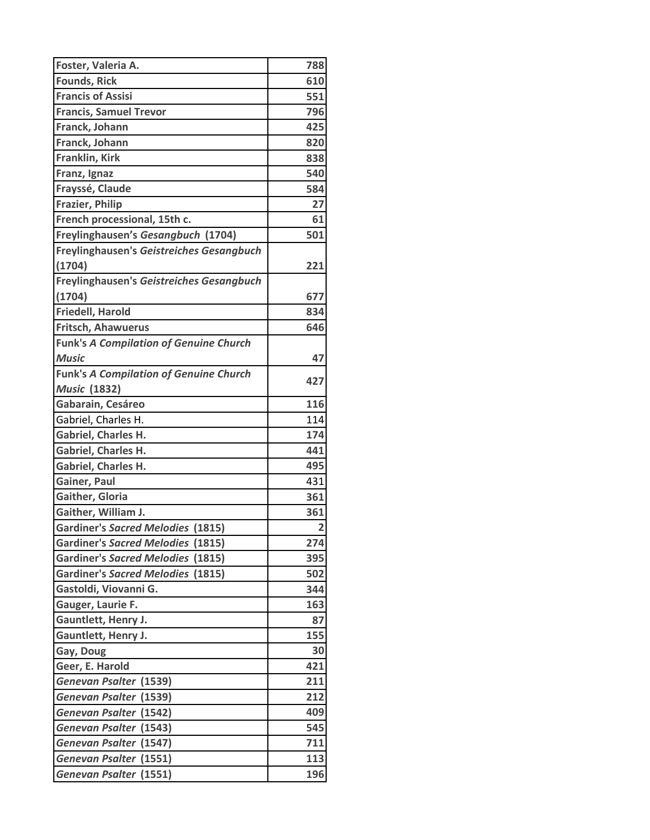| Foster, Valeria A.                            | 788                     |
|-----------------------------------------------|-------------------------|
| <b>Founds, Rick</b>                           | 610                     |
| <b>Francis of Assisi</b>                      | 551                     |
| <b>Francis, Samuel Trevor</b>                 | 796                     |
| Franck, Johann                                | 425                     |
| Franck, Johann                                | 820                     |
| Franklin, Kirk                                | 838                     |
| Franz, Ignaz                                  | 540                     |
| Frayssé, Claude                               | 584                     |
| <b>Frazier, Philip</b>                        | 27                      |
| French processional, 15th c.                  | 61                      |
| Freylinghausen's Gesangbuch (1704)            | 501                     |
| Freylinghausen's Geistreiches Gesangbuch      |                         |
| (1704)                                        | 221                     |
| Freylinghausen's Geistreiches Gesangbuch      |                         |
| (1704)                                        | 677                     |
| <b>Friedell, Harold</b>                       | 834                     |
| Fritsch, Ahawuerus                            | 646                     |
| <b>Funk's A Compilation of Genuine Church</b> |                         |
| <b>Music</b>                                  | 47                      |
| <b>Funk's A Compilation of Genuine Church</b> |                         |
| <b>Music (1832)</b>                           | 427                     |
| Gabarain, Cesáreo                             | 116                     |
| Gabriel, Charles H.                           | 114                     |
| <b>Gabriel, Charles H.</b>                    | 174                     |
| <b>Gabriel, Charles H.</b>                    | 441                     |
| Gabriel, Charles H.                           | 495                     |
| Gainer, Paul                                  | 431                     |
| Gaither, Gloria                               | 361                     |
| Gaither, William J.                           | 361                     |
| <b>Gardiner's Sacred Melodies (1815)</b>      | $\overline{\mathbf{2}}$ |
| <b>Gardiner's Sacred Melodies (1815)</b>      | 274                     |
| <b>Gardiner's Sacred Melodies (1815)</b>      | 395                     |
| <b>Gardiner's Sacred Melodies (1815)</b>      | 502                     |
| Gastoldi, Viovanni G.                         | 344                     |
| Gauger, Laurie F.                             | 163                     |
| Gauntlett, Henry J.                           | 87                      |
| Gauntlett, Henry J.                           | 155                     |
| Gay, Doug                                     | 30                      |
| Geer, E. Harold                               | 421                     |
| Genevan Psalter (1539)                        | 211                     |
| Genevan Psalter (1539)                        | 212                     |
| <b>Genevan Psalter (1542)</b>                 | 409                     |
| <b>Genevan Psalter (1543)</b>                 | 545                     |
| Genevan Psalter (1547)                        | 711                     |
| Genevan Psalter (1551)                        | 113                     |
| Genevan Psalter (1551)                        | 196                     |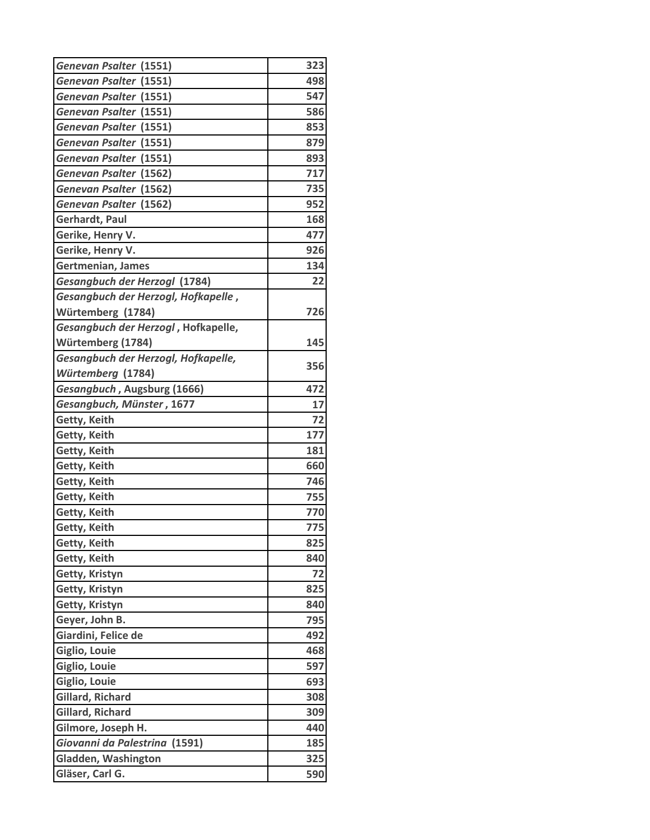| Genevan Psalter (1551)              | 323 |
|-------------------------------------|-----|
| <b>Genevan Psalter (1551)</b>       | 498 |
| Genevan Psalter (1551)              | 547 |
| Genevan Psalter (1551)              | 586 |
| <b>Genevan Psalter (1551)</b>       | 853 |
| Genevan Psalter (1551)              | 879 |
| Genevan Psalter (1551)              | 893 |
| <b>Genevan Psalter (1562)</b>       | 717 |
| <b>Genevan Psalter (1562)</b>       | 735 |
| Genevan Psalter (1562)              | 952 |
| Gerhardt, Paul                      | 168 |
| Gerike, Henry V.                    | 477 |
| Gerike, Henry V.                    | 926 |
| Gertmenian, James                   | 134 |
| Gesangbuch der Herzogl (1784)       | 22  |
| Gesangbuch der Herzogl, Hofkapelle, |     |
| Würtemberg (1784)                   | 726 |
| Gesangbuch der Herzogl, Hofkapelle, |     |
| Würtemberg (1784)                   | 145 |
| Gesangbuch der Herzogl, Hofkapelle, |     |
| Würtemberg (1784)                   | 356 |
| Gesangbuch, Augsburg (1666)         | 472 |
| Gesangbuch, Münster, 1677           | 17  |
| Getty, Keith                        | 72  |
| Getty, Keith                        | 177 |
| Getty, Keith                        | 181 |
| Getty, Keith                        | 660 |
| Getty, Keith                        | 746 |
| Getty, Keith                        | 755 |
| Getty, Keith                        | 770 |
| Getty, Keith                        | 775 |
| Getty, Keith                        | 825 |
| Getty, Keith                        | 840 |
| Getty, Kristyn                      | 72  |
| Getty, Kristyn                      | 825 |
| Getty, Kristyn                      | 840 |
| Geyer, John B.                      | 795 |
| Giardini, Felice de                 | 492 |
| Giglio, Louie                       | 468 |
| Giglio, Louie                       | 597 |
| Giglio, Louie                       | 693 |
| Gillard, Richard                    | 308 |
| Gillard, Richard                    | 309 |
| Gilmore, Joseph H.                  | 440 |
| Giovanni da Palestrina (1591)       | 185 |
| Gladden, Washington                 | 325 |
| Gläser, Carl G.                     | 590 |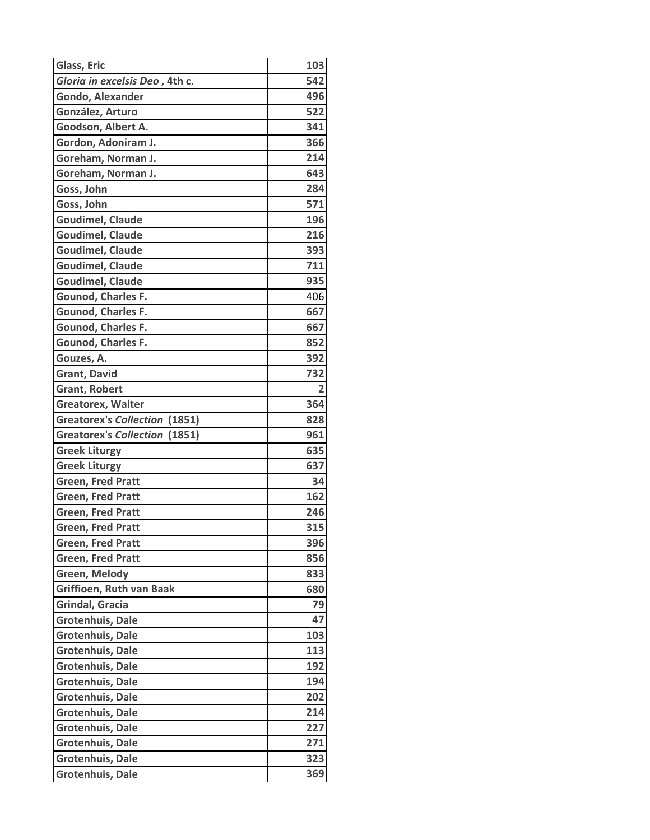| Glass, Eric                          | 103 |
|--------------------------------------|-----|
| Gloria in excelsis Deo, 4th c.       | 542 |
| <b>Gondo, Alexander</b>              | 496 |
| González, Arturo                     | 522 |
| Goodson, Albert A.                   | 341 |
| Gordon, Adoniram J.                  | 366 |
| Goreham, Norman J.                   | 214 |
| Goreham, Norman J.                   | 643 |
| Goss, John                           | 284 |
| Goss, John                           | 571 |
| <b>Goudimel, Claude</b>              | 196 |
| <b>Goudimel, Claude</b>              | 216 |
| <b>Goudimel, Claude</b>              | 393 |
| <b>Goudimel, Claude</b>              | 711 |
| <b>Goudimel, Claude</b>              | 935 |
| Gounod, Charles F.                   | 406 |
| Gounod, Charles F.                   | 667 |
| Gounod, Charles F.                   | 667 |
| Gounod, Charles F.                   | 852 |
| Gouzes, A.                           | 392 |
| <b>Grant, David</b>                  | 732 |
| <b>Grant, Robert</b>                 | 2   |
| <b>Greatorex, Walter</b>             | 364 |
| <b>Greatorex's Collection (1851)</b> | 828 |
| <b>Greatorex's Collection (1851)</b> | 961 |
| <b>Greek Liturgy</b>                 | 635 |
| <b>Greek Liturgy</b>                 | 637 |
| <b>Green, Fred Pratt</b>             | 34  |
| <b>Green, Fred Pratt</b>             | 162 |
| <b>Green, Fred Pratt</b>             | 246 |
| <b>Green, Fred Pratt</b>             | 315 |
| <b>Green, Fred Pratt</b>             | 396 |
| <b>Green, Fred Pratt</b>             | 856 |
| <b>Green, Melody</b>                 | 833 |
| <b>Griffioen, Ruth van Baak</b>      | 680 |
| Grindal, Gracia                      | 79  |
| Grotenhuis, Dale                     | 47  |
| <b>Grotenhuis, Dale</b>              | 103 |
| Grotenhuis, Dale                     | 113 |
| Grotenhuis, Dale                     | 192 |
| <b>Grotenhuis, Dale</b>              | 194 |
| <b>Grotenhuis, Dale</b>              | 202 |
| Grotenhuis, Dale                     | 214 |
| Grotenhuis, Dale                     | 227 |
| <b>Grotenhuis, Dale</b>              | 271 |
| Grotenhuis, Dale                     | 323 |
| Grotenhuis, Dale                     | 369 |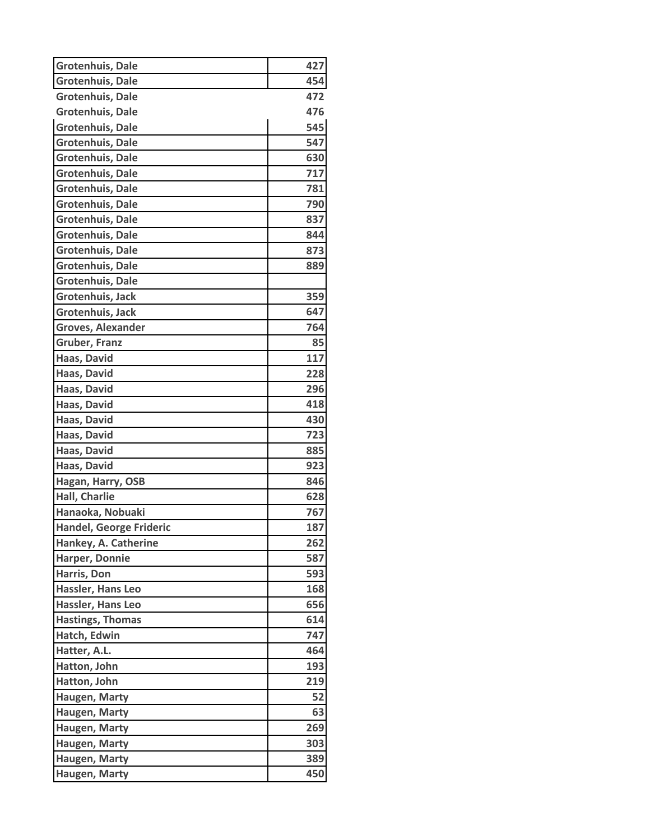| Grotenhuis, Dale               | 427 |
|--------------------------------|-----|
| <b>Grotenhuis, Dale</b>        | 454 |
| <b>Grotenhuis, Dale</b>        | 472 |
| <b>Grotenhuis, Dale</b>        | 476 |
| <b>Grotenhuis, Dale</b>        | 545 |
| Grotenhuis, Dale               | 547 |
| Grotenhuis, Dale               | 630 |
| Grotenhuis, Dale               | 717 |
| Grotenhuis, Dale               | 781 |
| <b>Grotenhuis, Dale</b>        | 790 |
| <b>Grotenhuis, Dale</b>        | 837 |
| Grotenhuis, Dale               | 844 |
| <b>Grotenhuis, Dale</b>        | 873 |
| Grotenhuis, Dale               | 889 |
| <b>Grotenhuis, Dale</b>        |     |
| Grotenhuis, Jack               | 359 |
| Grotenhuis, Jack               | 647 |
| <b>Groves, Alexander</b>       | 764 |
| <b>Gruber, Franz</b>           | 85  |
| Haas, David                    | 117 |
| Haas, David                    | 228 |
| Haas, David                    | 296 |
| Haas, David                    | 418 |
| Haas, David                    | 430 |
| Haas, David                    | 723 |
| Haas, David                    | 885 |
| Haas, David                    | 923 |
| Hagan, Harry, OSB              | 846 |
| Hall, Charlie                  | 628 |
| Hanaoka, Nobuaki               | 767 |
| <b>Handel, George Frideric</b> | 187 |
| Hankey, A. Catherine           | 262 |
| Harper, Donnie                 | 587 |
| Harris, Don                    | 593 |
| Hassler, Hans Leo              | 168 |
| Hassler, Hans Leo              | 656 |
| <b>Hastings, Thomas</b>        | 614 |
| Hatch, Edwin                   | 747 |
| Hatter, A.L.                   | 464 |
| Hatton, John                   | 193 |
| Hatton, John                   | 219 |
| Haugen, Marty                  | 52  |
| Haugen, Marty                  | 63  |
| Haugen, Marty                  | 269 |
| Haugen, Marty                  | 303 |
| Haugen, Marty                  | 389 |
| Haugen, Marty                  | 450 |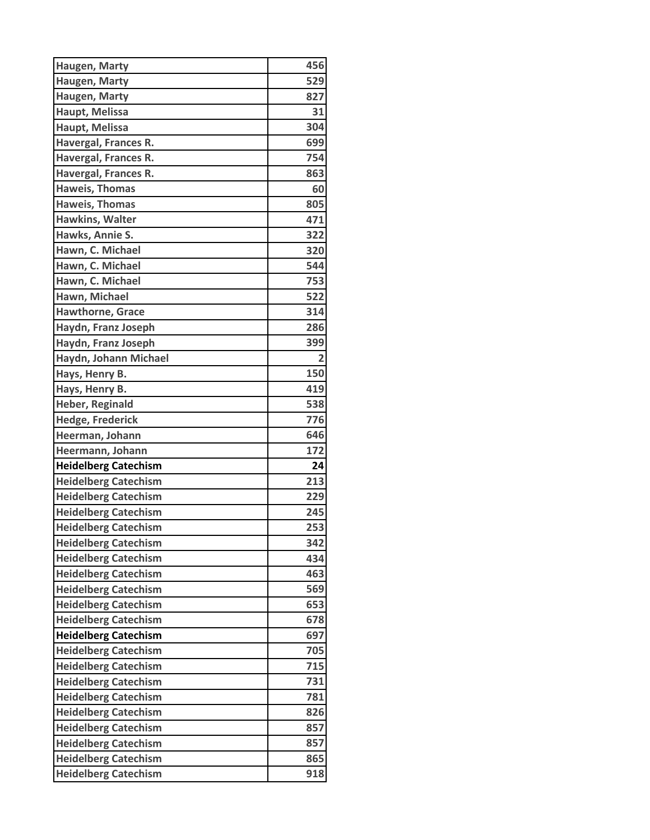| Haugen, Marty               | 456            |
|-----------------------------|----------------|
| Haugen, Marty               | 529            |
| Haugen, Marty               | 827            |
| Haupt, Melissa              | 31             |
| Haupt, Melissa              | 304            |
| Havergal, Frances R.        | 699            |
| Havergal, Frances R.        | 754            |
| Havergal, Frances R.        | 863            |
| <b>Haweis, Thomas</b>       | 60             |
| <b>Haweis, Thomas</b>       | 805            |
| Hawkins, Walter             | 471            |
| Hawks, Annie S.             | 322            |
| Hawn, C. Michael            | 320            |
| Hawn, C. Michael            | 544            |
| Hawn, C. Michael            | 753            |
| Hawn, Michael               | 522            |
| <b>Hawthorne, Grace</b>     | 314            |
| Haydn, Franz Joseph         | 286            |
| Haydn, Franz Joseph         | 399            |
| Haydn, Johann Michael       | $\overline{2}$ |
| Hays, Henry B.              | 150            |
| Hays, Henry B.              | 419            |
| <b>Heber, Reginald</b>      | 538            |
| <b>Hedge, Frederick</b>     | 776            |
| Heerman, Johann             | 646            |
| Heermann, Johann            | 172            |
| <b>Heidelberg Catechism</b> | 24             |
| <b>Heidelberg Catechism</b> | 213            |
| <b>Heidelberg Catechism</b> | 229            |
| <b>Heidelberg Catechism</b> | 245            |
| <b>Heidelberg Catechism</b> | 253            |
| <b>Heidelberg Catechism</b> | 342            |
| <b>Heidelberg Catechism</b> | 434            |
| <b>Heidelberg Catechism</b> | 463            |
| <b>Heidelberg Catechism</b> | 569            |
| <b>Heidelberg Catechism</b> | 653            |
| <b>Heidelberg Catechism</b> | 678            |
| <b>Heidelberg Catechism</b> | 697            |
| <b>Heidelberg Catechism</b> | 705            |
| <b>Heidelberg Catechism</b> | 715            |
| <b>Heidelberg Catechism</b> | 731            |
| <b>Heidelberg Catechism</b> | 781            |
| <b>Heidelberg Catechism</b> | 826            |
| <b>Heidelberg Catechism</b> | 857            |
| <b>Heidelberg Catechism</b> | 857            |
| <b>Heidelberg Catechism</b> | 865            |
| <b>Heidelberg Catechism</b> | 918            |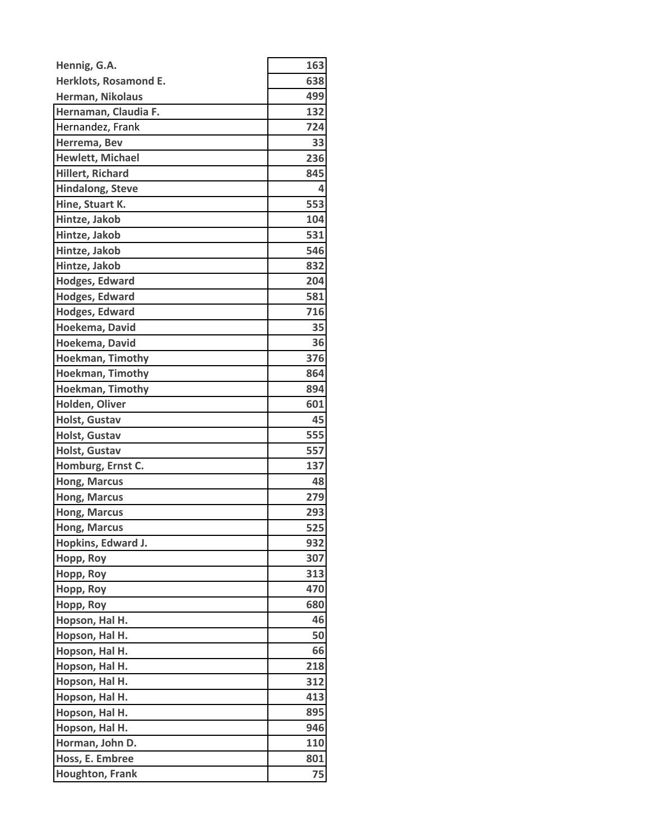| Hennig, G.A.            | 163 |
|-------------------------|-----|
| Herklots, Rosamond E.   | 638 |
| Herman, Nikolaus        | 499 |
| Hernaman, Claudia F.    | 132 |
| Hernandez, Frank        | 724 |
| Herrema, Bev            | 33  |
| <b>Hewlett, Michael</b> | 236 |
| <b>Hillert, Richard</b> | 845 |
| <b>Hindalong, Steve</b> | 4   |
| Hine, Stuart K.         | 553 |
| Hintze, Jakob           | 104 |
| Hintze, Jakob           | 531 |
| Hintze, Jakob           | 546 |
| Hintze, Jakob           | 832 |
| Hodges, Edward          | 204 |
| <b>Hodges, Edward</b>   | 581 |
| Hodges, Edward          | 716 |
| Hoekema, David          | 35  |
| Hoekema, David          | 36  |
| <b>Hoekman, Timothy</b> | 376 |
| Hoekman, Timothy        | 864 |
| <b>Hoekman, Timothy</b> | 894 |
| Holden, Oliver          | 601 |
| <b>Holst, Gustav</b>    | 45  |
| Holst, Gustav           | 555 |
| <b>Holst, Gustav</b>    | 557 |
| Homburg, Ernst C.       | 137 |
| <b>Hong, Marcus</b>     | 48  |
| <b>Hong, Marcus</b>     | 279 |
| <b>Hong, Marcus</b>     | 293 |
| <b>Hong, Marcus</b>     | 525 |
| Hopkins, Edward J.      | 932 |
| Hopp, Roy               | 307 |
| Hopp, Roy               | 313 |
| Hopp, Roy               | 470 |
| Hopp, Roy               | 680 |
| Hopson, Hal H.          | 46  |
| Hopson, Hal H.          | 50  |
| Hopson, Hal H.          | 66  |
| Hopson, Hal H.          | 218 |
| Hopson, Hal H.          | 312 |
| Hopson, Hal H.          | 413 |
| Hopson, Hal H.          | 895 |
| Hopson, Hal H.          | 946 |
| Horman, John D.         | 110 |
| Hoss, E. Embree         | 801 |
| <b>Houghton, Frank</b>  | 75  |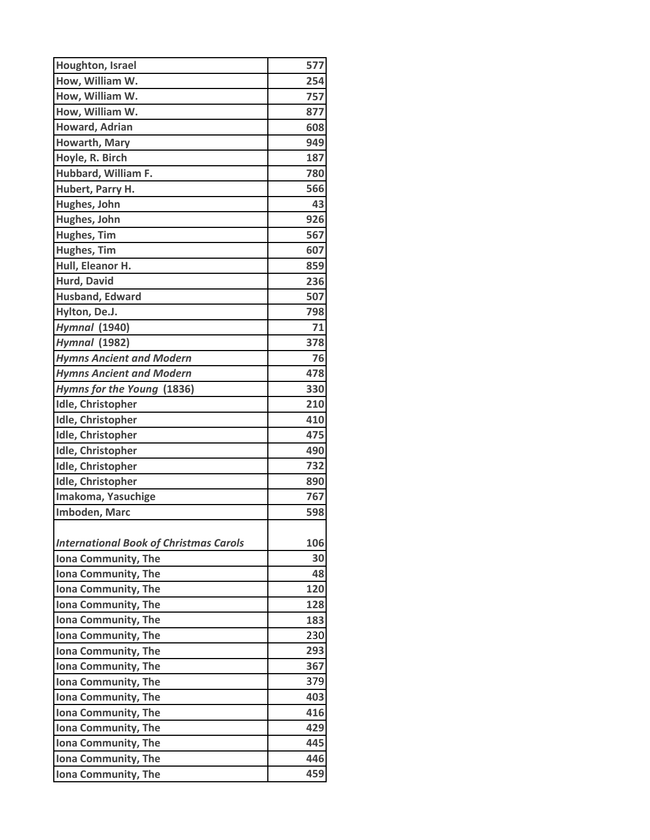| Houghton, Israel                              | 577 |
|-----------------------------------------------|-----|
| How, William W.                               | 254 |
| How, William W.                               | 757 |
| How, William W.                               | 877 |
| <b>Howard, Adrian</b>                         | 608 |
| Howarth, Mary                                 | 949 |
| Hoyle, R. Birch                               | 187 |
| Hubbard, William F.                           | 780 |
| Hubert, Parry H.                              | 566 |
| Hughes, John                                  | 43  |
| Hughes, John                                  | 926 |
| Hughes, Tim                                   | 567 |
| <b>Hughes, Tim</b>                            | 607 |
| Hull, Eleanor H.                              | 859 |
| Hurd, David                                   | 236 |
| <b>Husband, Edward</b>                        | 507 |
| Hylton, De.J.                                 | 798 |
| <b>Hymnal (1940)</b>                          | 71  |
| <b>Hymnal (1982)</b>                          | 378 |
| <b>Hymns Ancient and Modern</b>               | 76  |
| <b>Hymns Ancient and Modern</b>               | 478 |
| Hymns for the Young (1836)                    | 330 |
| <b>Idle, Christopher</b>                      | 210 |
| <b>Idle, Christopher</b>                      | 410 |
| <b>Idle, Christopher</b>                      | 475 |
| <b>Idle, Christopher</b>                      | 490 |
| <b>Idle, Christopher</b>                      | 732 |
| <b>Idle, Christopher</b>                      | 890 |
| Imakoma, Yasuchige                            | 767 |
| Imboden, Marc                                 | 598 |
|                                               |     |
| <b>International Book of Christmas Carols</b> | 106 |
| Iona Community, The                           | 30  |
| Iona Community, The                           | 48  |
| Iona Community, The                           | 120 |
| Iona Community, The                           | 128 |
| Iona Community, The                           | 183 |
| Iona Community, The                           | 230 |
| Iona Community, The                           | 293 |
| Iona Community, The                           | 367 |
| Iona Community, The                           | 379 |
| Iona Community, The                           | 403 |
| Iona Community, The                           | 416 |
| Iona Community, The                           | 429 |
| Iona Community, The                           | 445 |
| Iona Community, The                           | 446 |
| Iona Community, The                           | 459 |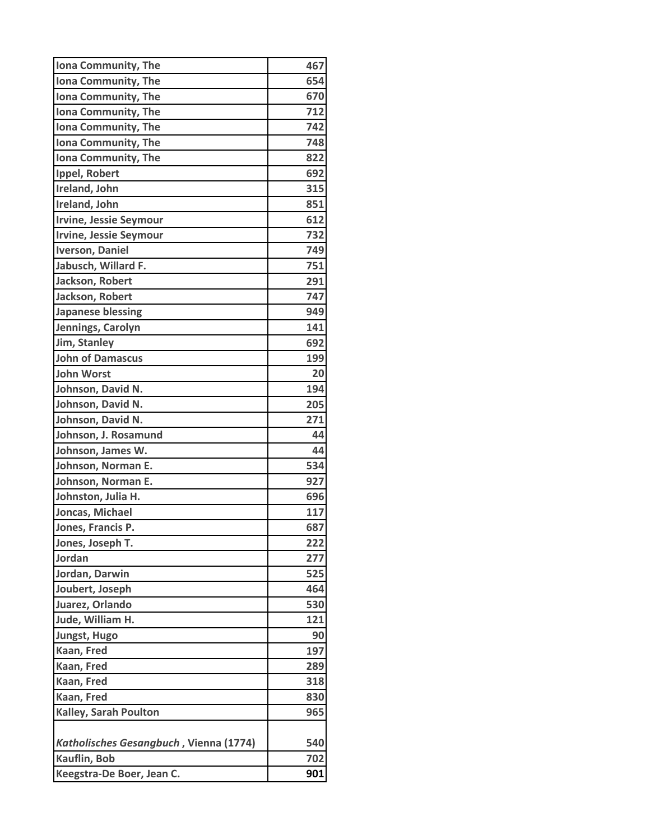| Iona Community, The                    | 467 |
|----------------------------------------|-----|
| Iona Community, The                    | 654 |
| Iona Community, The                    | 670 |
| Iona Community, The                    | 712 |
| Iona Community, The                    | 742 |
| Iona Community, The                    | 748 |
| Iona Community, The                    | 822 |
| Ippel, Robert                          | 692 |
| Ireland, John                          | 315 |
| Ireland, John                          | 851 |
| <b>Irvine, Jessie Seymour</b>          | 612 |
| <b>Irvine, Jessie Seymour</b>          | 732 |
| <b>Iverson, Daniel</b>                 | 749 |
| Jabusch, Willard F.                    | 751 |
| Jackson, Robert                        | 291 |
| Jackson, Robert                        | 747 |
| <b>Japanese blessing</b>               | 949 |
| Jennings, Carolyn                      | 141 |
| Jim, Stanley                           | 692 |
| <b>John of Damascus</b>                | 199 |
| <b>John Worst</b>                      | 20  |
| Johnson, David N.                      | 194 |
| Johnson, David N.                      | 205 |
| Johnson, David N.                      | 271 |
| Johnson, J. Rosamund                   | 44  |
| Johnson, James W.                      | 44  |
| Johnson, Norman E.                     | 534 |
| Johnson, Norman E.                     | 927 |
| Johnston, Julia H.                     | 696 |
| Joncas, Michael                        | 117 |
| Jones, Francis P.                      | 687 |
| Jones, Joseph T.                       | 222 |
| Jordan                                 | 277 |
| Jordan, Darwin                         | 525 |
| Joubert, Joseph                        | 464 |
| Juarez, Orlando                        | 530 |
| Jude, William H.                       | 121 |
| <b>Jungst, Hugo</b>                    | 90  |
| Kaan, Fred                             | 197 |
| Kaan, Fred                             | 289 |
| Kaan, Fred                             | 318 |
| Kaan, Fred                             | 830 |
| <b>Kalley, Sarah Poulton</b>           | 965 |
|                                        |     |
| Katholisches Gesangbuch, Vienna (1774) | 540 |
| Kauflin, Bob                           | 702 |
| Keegstra-De Boer, Jean C.              | 901 |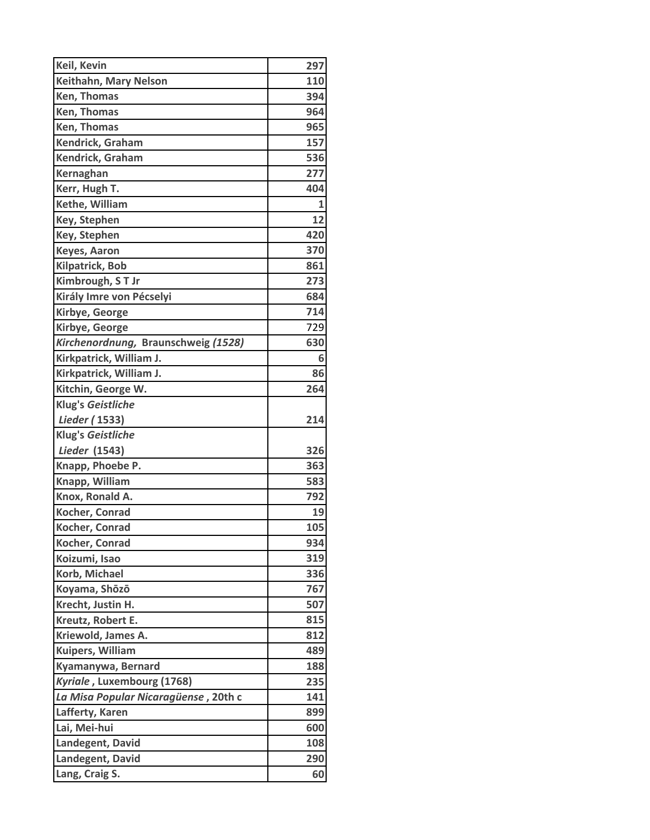| Keil, Kevin                                                        | 297        |
|--------------------------------------------------------------------|------------|
| Keithahn, Mary Nelson                                              | 110        |
| Ken, Thomas                                                        | 394        |
| Ken, Thomas                                                        | 964        |
| Ken, Thomas                                                        | 965        |
| Kendrick, Graham                                                   | 157        |
| Kendrick, Graham                                                   | 536        |
| Kernaghan                                                          | 277        |
| Kerr, Hugh T.                                                      | 404        |
| Kethe, William                                                     | 1          |
| Key, Stephen                                                       | 12         |
| Key, Stephen                                                       | 420        |
| <b>Keyes, Aaron</b>                                                | 370        |
| <b>Kilpatrick, Bob</b>                                             | 861        |
| Kimbrough, ST Jr                                                   | 273        |
| Király Imre von Pécselyi                                           | 684        |
| Kirbye, George                                                     | 714        |
| Kirbye, George                                                     | 729        |
| Kirchenordnung, Braunschweig (1528)                                | 630        |
| Kirkpatrick, William J.                                            | 6          |
| Kirkpatrick, William J.                                            | 86         |
| Kitchin, George W.                                                 | 264        |
| Klug's Geistliche                                                  |            |
| Lieder (1533)                                                      | 214        |
| Klug's Geistliche                                                  |            |
| <b>Lieder</b> (1543)                                               | 326        |
| Knapp, Phoebe P.                                                   | 363        |
| Knapp, William                                                     | 583        |
| Knox, Ronald A.                                                    | 792        |
| Kocher, Conrad                                                     | 19         |
| Kocher, Conrad                                                     | 105        |
| Kocher, Conrad                                                     | 934        |
| Koizumi, Isao                                                      | 319        |
| Korb, Michael                                                      | 336        |
| Koyama, Shōzō                                                      | 767        |
| Krecht, Justin H.                                                  | 507        |
| Kreutz, Robert E.                                                  | 815        |
| Kriewold, James A.                                                 | 812<br>489 |
| Kuipers, William<br>Kyamanywa, Bernard                             | 188        |
|                                                                    |            |
| Kyriale, Luxembourg (1768)<br>La Misa Popular Nicaragüense, 20th c | 235<br>141 |
| Lafferty, Karen                                                    | 899        |
| Lai, Mei-hui                                                       | 600        |
| Landegent, David                                                   | 108        |
| Landegent, David                                                   | 290        |
| Lang, Craig S.                                                     | 60         |
|                                                                    |            |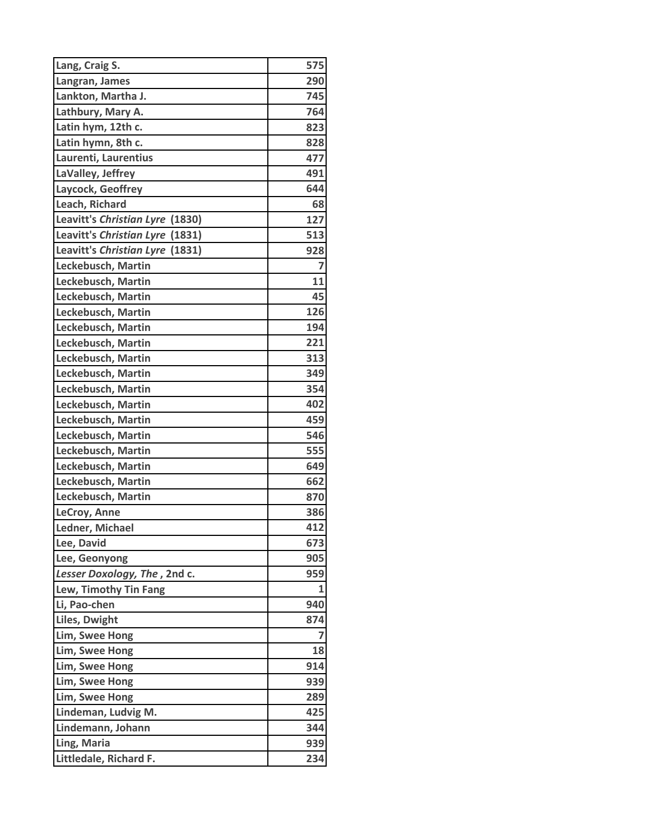| Lang, Craig S.                     | 575            |
|------------------------------------|----------------|
| Langran, James                     | 290            |
| Lankton, Martha J.                 | 745            |
| Lathbury, Mary A.                  | 764            |
| Latin hym, 12th c.                 | 823            |
| Latin hymn, 8th c.                 | 828            |
| Laurenti, Laurentius               | 477            |
| LaValley, Jeffrey                  | 491            |
| Laycock, Geoffrey                  | 644            |
| Leach, Richard                     | 68             |
| Leavitt's Christian Lyre<br>(1830) | 127            |
| Leavitt's Christian Lyre (1831)    | 513            |
| Leavitt's Christian Lyre (1831)    | 928            |
| Leckebusch, Martin                 | $\overline{7}$ |
| Leckebusch, Martin                 | 11             |
| Leckebusch, Martin                 | 45             |
| Leckebusch, Martin                 | 126            |
| Leckebusch, Martin                 | 194            |
| Leckebusch, Martin                 | 221            |
| Leckebusch, Martin                 | 313            |
| Leckebusch, Martin                 | 349            |
| Leckebusch, Martin                 | 354            |
| Leckebusch, Martin                 | 402            |
| Leckebusch, Martin                 | 459            |
| Leckebusch, Martin                 | 546            |
| Leckebusch, Martin                 | 555            |
| Leckebusch, Martin                 | 649            |
| Leckebusch, Martin                 | 662            |
| Leckebusch, Martin                 | 870            |
| LeCroy, Anne                       | 386            |
| Ledner, Michael                    | 412            |
| Lee, David                         | 673            |
| Lee, Geonyong                      | 905            |
| Lesser Doxology, The, 2nd c.       | 959            |
| Lew, Timothy Tin Fang              | 1              |
| Li, Pao-chen                       | 940            |
| Liles, Dwight                      | 874            |
| Lim, Swee Hong                     | 7              |
| Lim, Swee Hong                     | 18             |
| Lim, Swee Hong                     | 914            |
| Lim, Swee Hong                     | 939            |
| Lim, Swee Hong                     | 289            |
| Lindeman, Ludvig M.                | 425            |
| Lindemann, Johann                  | 344            |
| Ling, Maria                        | 939            |
| Littledale, Richard F.             | 234            |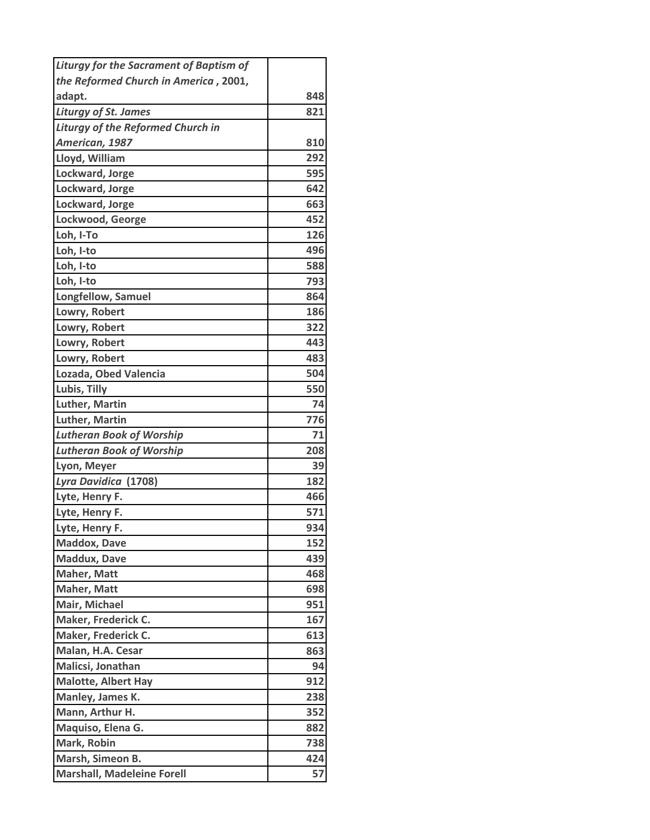| <b>Liturgy for the Sacrament of Baptism of</b> |     |
|------------------------------------------------|-----|
| the Reformed Church in America, 2001,          |     |
| adapt.                                         | 848 |
| <b>Liturgy of St. James</b>                    | 821 |
| <b>Liturgy of the Reformed Church in</b>       |     |
| American, 1987                                 | 810 |
| Lloyd, William                                 | 292 |
| Lockward, Jorge                                | 595 |
| Lockward, Jorge                                | 642 |
| Lockward, Jorge                                | 663 |
| Lockwood, George                               | 452 |
| Loh, I-To                                      | 126 |
| Loh, I-to                                      | 496 |
| Loh, I-to                                      | 588 |
| Loh, I-to                                      | 793 |
| Longfellow, Samuel                             | 864 |
| Lowry, Robert                                  | 186 |
| Lowry, Robert                                  | 322 |
| Lowry, Robert                                  | 443 |
| Lowry, Robert                                  | 483 |
| Lozada, Obed Valencia                          | 504 |
| Lubis, Tilly                                   | 550 |
| <b>Luther, Martin</b>                          | 74  |
| Luther, Martin                                 | 776 |
| <b>Lutheran Book of Worship</b>                | 71  |
| <b>Lutheran Book of Worship</b>                | 208 |
| Lyon, Meyer                                    | 39  |
| Lyra Davidica (1708)                           | 182 |
| Lyte, Henry F.                                 | 466 |
| Lyte, Henry F.                                 | 571 |
| Lyte, Henry F.                                 | 934 |
| <b>Maddox, Dave</b>                            | 152 |
| <b>Maddux, Dave</b>                            | 439 |
| Maher, Matt                                    | 468 |
| Maher, Matt                                    | 698 |
| Mair, Michael                                  | 951 |
| Maker, Frederick C.                            | 167 |
| Maker, Frederick C.                            | 613 |
| Malan, H.A. Cesar                              | 863 |
| Malicsi, Jonathan                              | 94  |
| <b>Malotte, Albert Hay</b>                     | 912 |
| Manley, James K.                               | 238 |
| Mann, Arthur H.                                | 352 |
| Maquiso, Elena G.                              | 882 |
| Mark, Robin                                    | 738 |
| Marsh, Simeon B.                               | 424 |
| <b>Marshall, Madeleine Forell</b>              | 57  |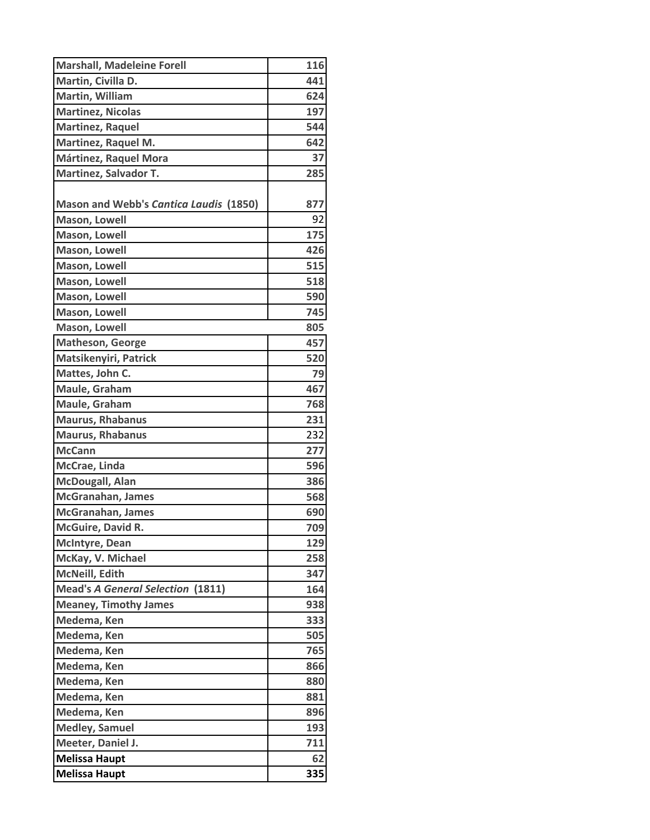| <b>Marshall, Madeleine Forell</b>        | 116 |
|------------------------------------------|-----|
| Martin, Civilla D.                       | 441 |
| Martin, William                          | 624 |
| <b>Martinez, Nicolas</b>                 | 197 |
| <b>Martinez, Raquel</b>                  | 544 |
| Martinez, Raquel M.                      | 642 |
| Mártinez, Raquel Mora                    | 37  |
| <b>Martinez, Salvador T.</b>             | 285 |
|                                          |     |
| Mason and Webb's Cantica Laudis (1850)   | 877 |
| <b>Mason, Lowell</b>                     | 92  |
| <b>Mason, Lowell</b>                     | 175 |
| Mason, Lowell                            | 426 |
| Mason, Lowell                            | 515 |
| Mason, Lowell                            | 518 |
| Mason, Lowell                            | 590 |
| <b>Mason, Lowell</b>                     | 745 |
| Mason, Lowell                            | 805 |
| Matheson, George                         | 457 |
| Matsikenyiri, Patrick                    | 520 |
| Mattes, John C.                          | 79  |
| Maule, Graham                            | 467 |
| Maule, Graham                            | 768 |
| <b>Maurus, Rhabanus</b>                  | 231 |
| <b>Maurus, Rhabanus</b>                  | 232 |
| <b>McCann</b>                            | 277 |
| McCrae, Linda                            | 596 |
| <b>McDougall, Alan</b>                   | 386 |
| McGranahan, James                        | 568 |
| <b>McGranahan, James</b>                 | 690 |
| McGuire, David R.                        | 709 |
| <b>McIntyre, Dean</b>                    | 129 |
| McKay, V. Michael                        | 258 |
| McNeill, Edith                           | 347 |
| <b>Mead's A General Selection (1811)</b> | 164 |
| <b>Meaney, Timothy James</b>             | 938 |
| Medema, Ken                              | 333 |
| Medema, Ken                              | 505 |
| Medema, Ken                              | 765 |
| Medema, Ken                              | 866 |
| Medema, Ken                              | 880 |
| Medema, Ken                              | 881 |
| Medema, Ken                              | 896 |
| <b>Medley, Samuel</b>                    | 193 |
| Meeter, Daniel J.                        | 711 |
| <b>Melissa Haupt</b>                     | 62  |
| <b>Melissa Haupt</b>                     | 335 |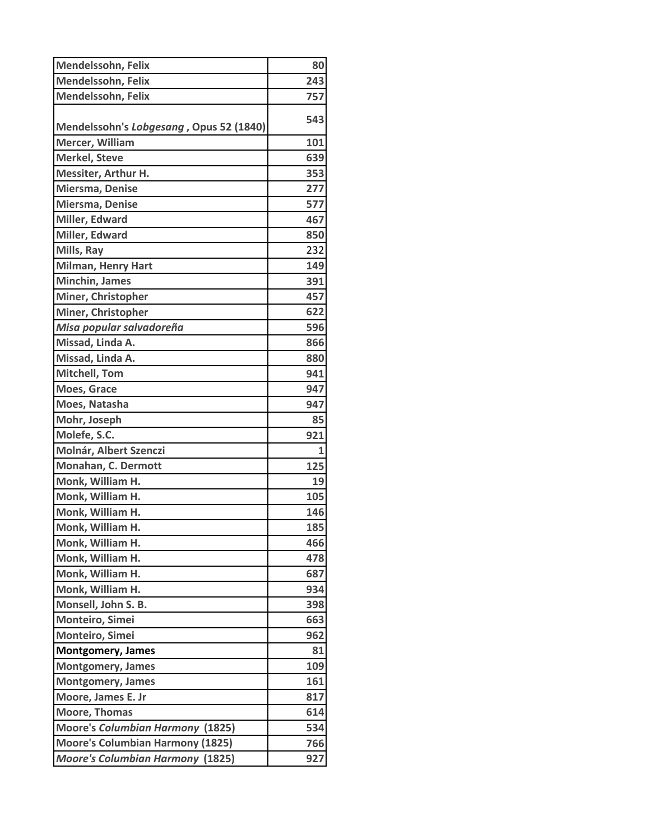| Mendelssohn, Felix                      | 80           |
|-----------------------------------------|--------------|
| Mendelssohn, Felix                      | 243          |
| Mendelssohn, Felix                      | 757          |
| Mendelssohn's Lobgesang, Opus 52 (1840) | 543          |
| Mercer, William                         | 101          |
| <b>Merkel, Steve</b>                    | 639          |
| Messiter, Arthur H.                     | 353          |
| Miersma, Denise                         | 277          |
| Miersma, Denise                         | 577          |
| Miller, Edward                          | 467          |
| Miller, Edward                          | 850          |
| Mills, Ray                              | 232          |
| <b>Milman, Henry Hart</b>               | 149          |
| <b>Minchin, James</b>                   | 391          |
| Miner, Christopher                      | 457          |
| Miner, Christopher                      | 622          |
| Misa popular salvadoreña                | 596          |
| Missad, Linda A.                        | 866          |
| Missad, Linda A.                        | 880          |
| <b>Mitchell, Tom</b>                    | 941          |
| Moes, Grace                             | 947          |
| Moes, Natasha                           | 947          |
| Mohr, Joseph                            | 85           |
| Molefe, S.C.                            | 921          |
| Molnár, Albert Szenczi                  | $\mathbf{1}$ |
| Monahan, C. Dermott                     | 125          |
| Monk, William H.                        | 19           |
| Monk, William H.                        | 105          |
| Monk, William H.                        | 146          |
| Monk, William H.                        | 185          |
| Monk, William H.                        | 466          |
| Monk, William H.                        | 478          |
| Monk, William H.                        | 687          |
| Monk, William H.                        | 934          |
| Monsell, John S. B.                     | 398          |
| Monteiro, Simei                         | 663          |
| Monteiro, Simei                         | 962          |
| <b>Montgomery, James</b>                | 81           |
| <b>Montgomery, James</b>                | 109          |
| <b>Montgomery, James</b>                | 161          |
| Moore, James E. Jr                      | 817          |
| <b>Moore, Thomas</b>                    | 614          |
| <b>Moore's Columbian Harmony (1825)</b> | 534          |
| <b>Moore's Columbian Harmony (1825)</b> | 766          |
| <b>Moore's Columbian Harmony (1825)</b> | 927          |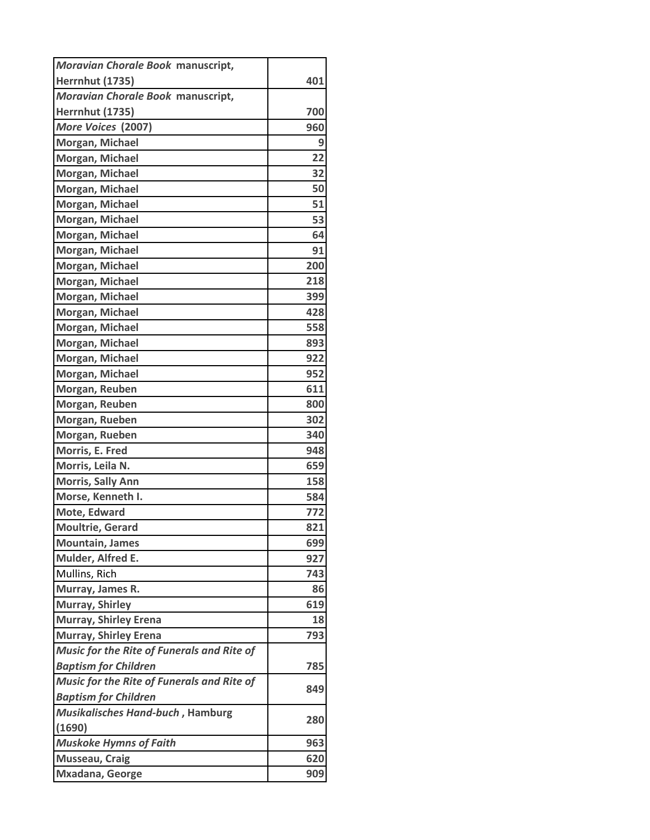| Moravian Chorale Book manuscript,                 |     |
|---------------------------------------------------|-----|
| <b>Herrnhut (1735)</b>                            | 401 |
| Moravian Chorale Book manuscript,                 |     |
| <b>Herrnhut (1735)</b>                            | 700 |
| More Voices (2007)                                | 960 |
| Morgan, Michael                                   | 9   |
| Morgan, Michael                                   | 22  |
| Morgan, Michael                                   | 32  |
| Morgan, Michael                                   | 50  |
| Morgan, Michael                                   | 51  |
| Morgan, Michael                                   | 53  |
| Morgan, Michael                                   | 64  |
| Morgan, Michael                                   | 91  |
| Morgan, Michael                                   | 200 |
| Morgan, Michael                                   | 218 |
| Morgan, Michael                                   | 399 |
| Morgan, Michael                                   | 428 |
| Morgan, Michael                                   | 558 |
| Morgan, Michael                                   | 893 |
| Morgan, Michael                                   | 922 |
| Morgan, Michael                                   | 952 |
| Morgan, Reuben                                    | 611 |
| Morgan, Reuben                                    | 800 |
| Morgan, Rueben                                    | 302 |
| Morgan, Rueben                                    | 340 |
| Morris, E. Fred                                   | 948 |
| Morris, Leila N.                                  | 659 |
| <b>Morris, Sally Ann</b>                          | 158 |
| Morse, Kenneth I.                                 | 584 |
| <b>Mote, Edward</b>                               | 772 |
| <b>Moultrie, Gerard</b>                           | 821 |
| <b>Mountain, James</b>                            | 699 |
| Mulder, Alfred E.                                 | 927 |
| Mullins, Rich                                     | 743 |
| Murray, James R.                                  | 86  |
| Murray, Shirley                                   | 619 |
| <b>Murray, Shirley Erena</b>                      | 18  |
| <b>Murray, Shirley Erena</b>                      | 793 |
| Music for the Rite of Funerals and Rite of        |     |
| <b>Baptism for Children</b>                       | 785 |
| <b>Music for the Rite of Funerals and Rite of</b> | 849 |
| <b>Baptism for Children</b>                       |     |
| Musikalisches Hand-buch, Hamburg                  | 280 |
| (1690)                                            |     |
| <b>Muskoke Hymns of Faith</b>                     | 963 |
| <b>Musseau, Craig</b>                             | 620 |
| Mxadana, George                                   | 909 |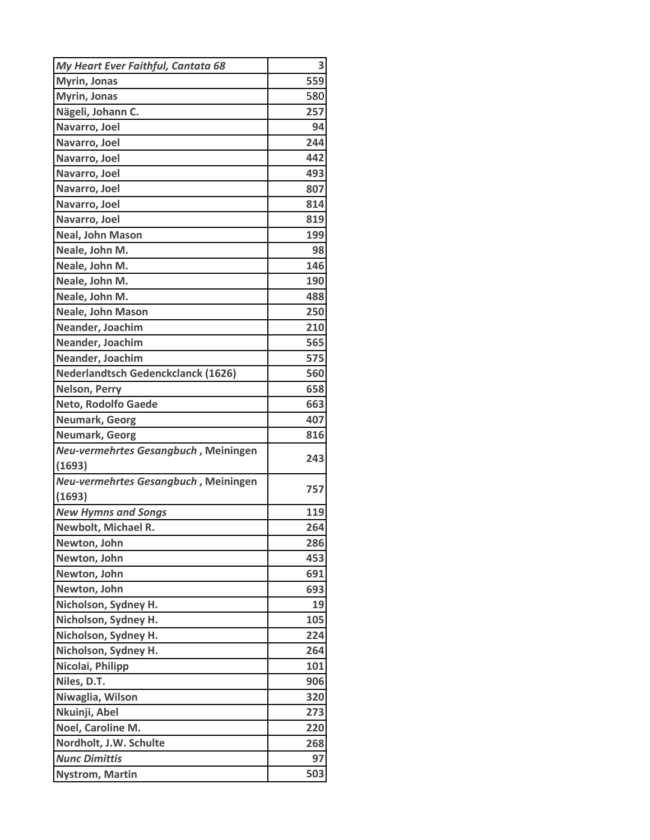| My Heart Ever Faithful, Cantata 68   | 3   |
|--------------------------------------|-----|
| <b>Myrin, Jonas</b>                  | 559 |
| <b>Myrin, Jonas</b>                  | 580 |
| Nägeli, Johann C.                    | 257 |
| Navarro, Joel                        | 94  |
| Navarro, Joel                        | 244 |
| Navarro, Joel                        | 442 |
| Navarro, Joel                        | 493 |
| Navarro, Joel                        | 807 |
| Navarro, Joel                        | 814 |
| Navarro, Joel                        | 819 |
| <b>Neal, John Mason</b>              | 199 |
| Neale, John M.                       | 98  |
| Neale, John M.                       | 146 |
| Neale, John M.                       | 190 |
| Neale, John M.                       | 488 |
| Neale, John Mason                    | 250 |
| Neander, Joachim                     | 210 |
| Neander, Joachim                     | 565 |
| Neander, Joachim                     | 575 |
| Nederlandtsch Gedenckclanck (1626)   | 560 |
| <b>Nelson, Perry</b>                 | 658 |
| Neto, Rodolfo Gaede                  | 663 |
| <b>Neumark, Georg</b>                | 407 |
| Neumark, Georg                       | 816 |
| Neu-vermehrtes Gesangbuch, Meiningen | 243 |
| (1693)                               |     |
| Neu-vermehrtes Gesangbuch, Meiningen | 757 |
| (1693)                               |     |
| <b>New Hymns and Songs</b>           | 119 |
| Newbolt, Michael R.                  | 264 |
| Newton, John                         | 286 |
| Newton, John                         | 453 |
| Newton, John                         | 691 |
| Newton, John                         | 693 |
| Nicholson, Sydney H.                 | 19  |
| Nicholson, Sydney H.                 | 105 |
| Nicholson, Sydney H.                 | 224 |
| Nicholson, Sydney H.                 | 264 |
| Nicolai, Philipp                     | 101 |
| Niles, D.T.                          | 906 |
| Niwaglia, Wilson                     | 320 |
| Nkuinji, Abel                        | 273 |
| Noel, Caroline M.                    | 220 |
| Nordholt, J.W. Schulte               | 268 |
| <b>Nunc Dimittis</b>                 | 97  |
| <b>Nystrom, Martin</b>               | 503 |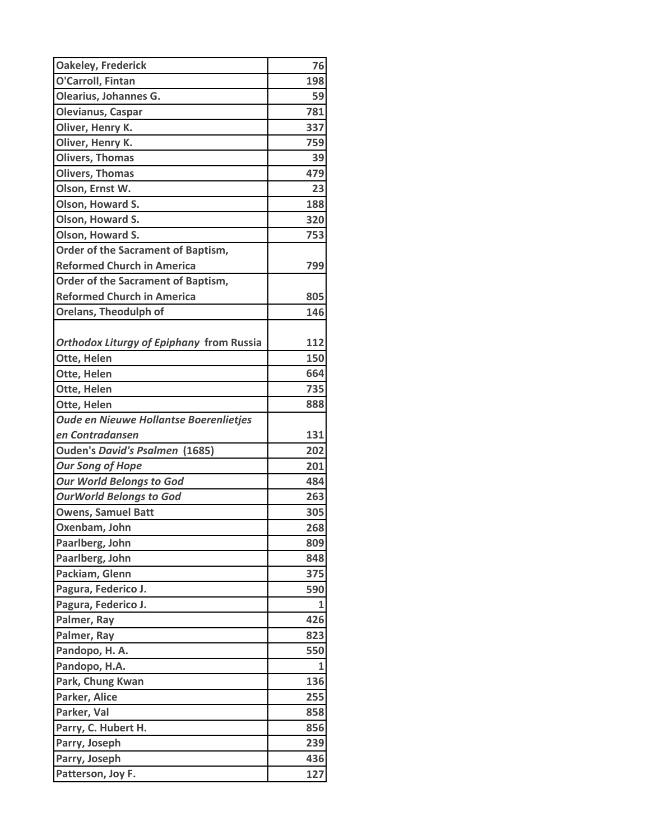| 76         |
|------------|
| 198        |
| 59         |
| 781        |
| 337        |
| 759        |
| 39         |
| 479        |
| 23         |
| 188        |
| 320        |
| 753        |
|            |
| 799        |
|            |
| 805        |
| 146        |
|            |
| 112        |
| 150        |
| 664        |
| 735        |
| 888        |
|            |
| 131        |
| 202        |
| 201        |
| 484        |
| 263        |
| 305        |
| 268        |
| 809        |
| 848        |
| 375        |
| 590        |
| 1          |
| 426        |
| 823        |
| 550        |
| 1          |
| 136        |
| 255        |
| 858        |
|            |
| 856        |
|            |
| 239<br>436 |
|            |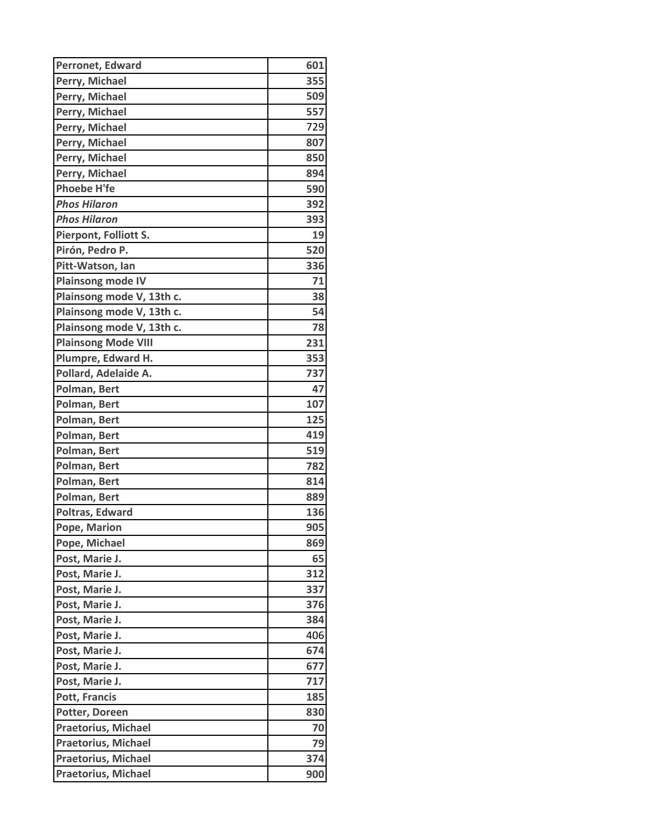| Perronet, Edward           | 601 |
|----------------------------|-----|
| Perry, Michael             | 355 |
| Perry, Michael             | 509 |
| Perry, Michael             | 557 |
| Perry, Michael             | 729 |
| Perry, Michael             | 807 |
| Perry, Michael             | 850 |
| Perry, Michael             | 894 |
| <b>Phoebe H'fe</b>         | 590 |
| <b>Phos Hilaron</b>        | 392 |
| <b>Phos Hilaron</b>        | 393 |
| Pierpont, Folliott S.      | 19  |
| Pirón, Pedro P.            | 520 |
| Pitt-Watson, Ian           | 336 |
| <b>Plainsong mode IV</b>   | 71  |
| Plainsong mode V, 13th c.  | 38  |
| Plainsong mode V, 13th c.  | 54  |
| Plainsong mode V, 13th c.  | 78  |
| <b>Plainsong Mode VIII</b> | 231 |
| Plumpre, Edward H.         | 353 |
| Pollard, Adelaide A.       | 737 |
| Polman, Bert               | 47  |
| Polman, Bert               | 107 |
| Polman, Bert               | 125 |
| Polman, Bert               | 419 |
| Polman, Bert               | 519 |
| Polman, Bert               | 782 |
| Polman, Bert               | 814 |
| Polman, Bert               | 889 |
| Poltras, Edward            | 136 |
| Pope, Marion               | 905 |
| Pope, Michael              | 869 |
| Post, Marie J.             | 65  |
| Post, Marie J.             | 312 |
| Post, Marie J.             | 337 |
| Post, Marie J.             | 376 |
| Post, Marie J.             | 384 |
| Post, Marie J.             | 406 |
| Post, Marie J.             | 674 |
| Post, Marie J.             | 677 |
| Post, Marie J.             | 717 |
| <b>Pott, Francis</b>       | 185 |
| Potter, Doreen             | 830 |
| <b>Praetorius, Michael</b> | 70  |
| <b>Praetorius, Michael</b> | 79  |
| Praetorius, Michael        | 374 |
| Praetorius, Michael        | 900 |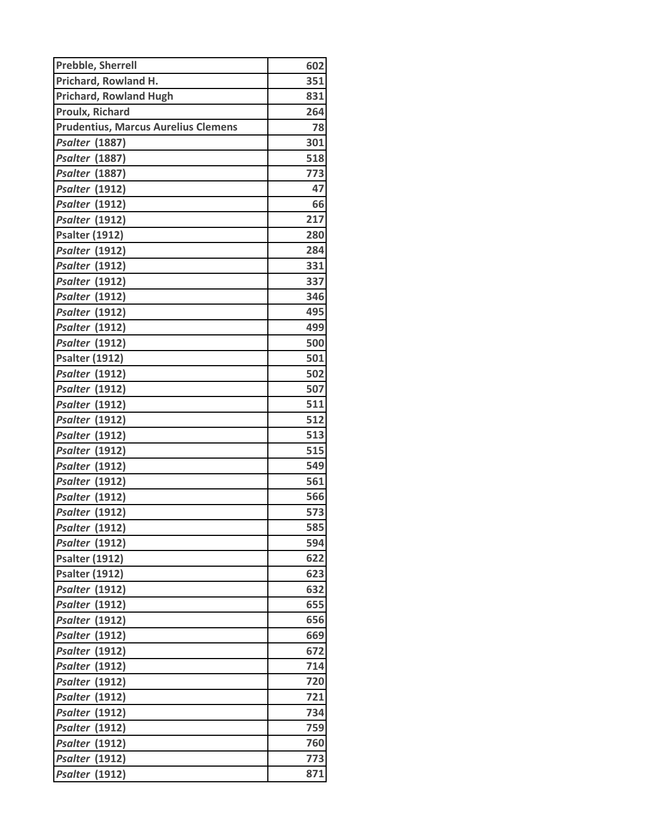| <b>Prebble, Sherrell</b>                   | 602 |
|--------------------------------------------|-----|
| Prichard, Rowland H.                       | 351 |
| <b>Prichard, Rowland Hugh</b>              | 831 |
| <b>Proulx, Richard</b>                     | 264 |
| <b>Prudentius, Marcus Aurelius Clemens</b> | 78  |
| <b>Psalter (1887)</b>                      | 301 |
| <b>Psalter (1887)</b>                      | 518 |
| <b>Psalter (1887)</b>                      | 773 |
| <b>Psalter (1912)</b>                      | 47  |
| <b>Psalter (1912)</b>                      | 66  |
| <b>Psalter (1912)</b>                      | 217 |
| <b>Psalter (1912)</b>                      | 280 |
| <b>Psalter (1912)</b>                      | 284 |
| <b>Psalter (1912)</b>                      | 331 |
| <b>Psalter</b> (1912)                      | 337 |
| <b>Psalter (1912)</b>                      | 346 |
| <b>Psalter (1912)</b>                      | 495 |
| <b>Psalter (1912)</b>                      | 499 |
| <b>Psalter (1912)</b>                      | 500 |
| <b>Psalter (1912)</b>                      | 501 |
| <b>Psalter (1912)</b>                      | 502 |
| <b>Psalter (1912)</b>                      | 507 |
| <b>Psalter (1912)</b>                      | 511 |
| <b>Psalter (1912)</b>                      | 512 |
| <b>Psalter (1912)</b>                      | 513 |
| <b>Psalter (1912)</b>                      | 515 |
| <b>Psalter (1912)</b>                      | 549 |
| <b>Psalter (1912)</b>                      | 561 |
| <b>Psalter (1912)</b>                      | 566 |
| <b>Psalter</b> (1912)                      | 573 |
| <b>Psalter (1912)</b>                      | 585 |
| <b>Psalter (1912)</b>                      | 594 |
| <b>Psalter (1912)</b>                      | 622 |
| <b>Psalter (1912)</b>                      | 623 |
| <b>Psalter (1912)</b>                      | 632 |
| <b>Psalter (1912)</b>                      | 655 |
| <b>Psalter (1912)</b>                      | 656 |
| <b>Psalter (1912)</b>                      | 669 |
| <b>Psalter (1912)</b>                      | 672 |
| <b>Psalter (1912)</b>                      | 714 |
| <b>Psalter (1912)</b>                      | 720 |
| <b>Psalter</b> (1912)                      | 721 |
| <b>Psalter (1912)</b>                      | 734 |
| <b>Psalter (1912)</b>                      | 759 |
| <b>Psalter (1912)</b>                      | 760 |
| <b>Psalter (1912)</b>                      | 773 |
| <b>Psalter (1912)</b>                      | 871 |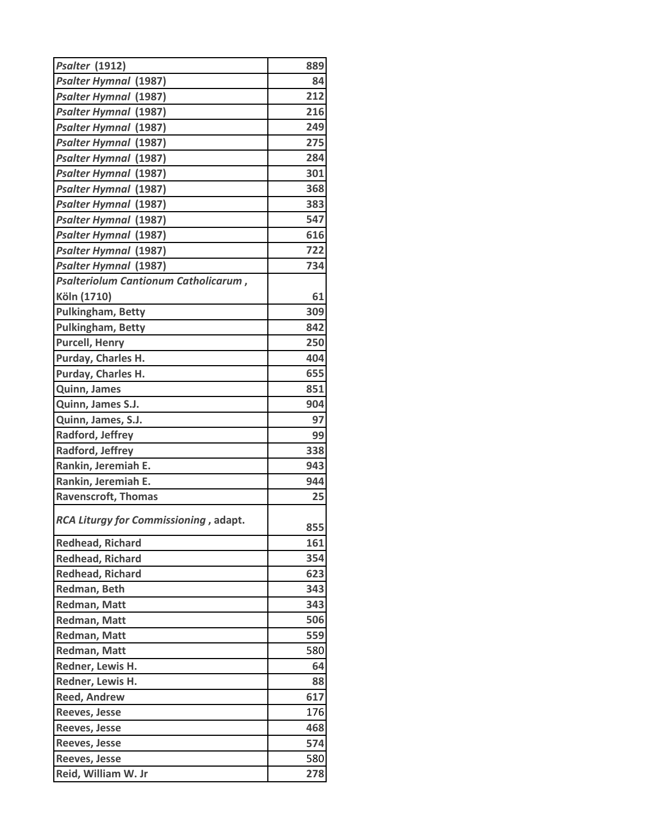| <b>Psalter (1912)</b>                 | 889 |
|---------------------------------------|-----|
| <b>Psalter Hymnal (1987)</b>          | 84  |
| <b>Psalter Hymnal (1987)</b>          | 212 |
| <b>Psalter Hymnal (1987)</b>          | 216 |
| <b>Psalter Hymnal (1987)</b>          | 249 |
| <b>Psalter Hymnal (1987)</b>          | 275 |
| <b>Psalter Hymnal (1987)</b>          | 284 |
| <b>Psalter Hymnal (1987)</b>          | 301 |
| <b>Psalter Hymnal (1987)</b>          | 368 |
| <b>Psalter Hymnal (1987)</b>          | 383 |
| <b>Psalter Hymnal (1987)</b>          | 547 |
| <b>Psalter Hymnal (1987)</b>          | 616 |
| <b>Psalter Hymnal (1987)</b>          | 722 |
| <b>Psalter Hymnal (1987)</b>          | 734 |
| Psalteriolum Cantionum Catholicarum,  |     |
| Köln (1710)                           | 61  |
| <b>Pulkingham, Betty</b>              | 309 |
| Pulkingham, Betty                     | 842 |
| <b>Purcell, Henry</b>                 | 250 |
| Purday, Charles H.                    | 404 |
| Purday, Charles H.                    | 655 |
| Quinn, James                          | 851 |
| Quinn, James S.J.                     | 904 |
| Quinn, James, S.J.                    | 97  |
| Radford, Jeffrey                      | 99  |
| Radford, Jeffrey                      | 338 |
| Rankin, Jeremiah E.                   | 943 |
| Rankin, Jeremiah E.                   | 944 |
| <b>Ravenscroft, Thomas</b>            | 25  |
|                                       |     |
| RCA Liturgy for Commissioning, adapt. | 855 |
| <b>Redhead, Richard</b>               | 161 |
| <b>Redhead, Richard</b>               | 354 |
| <b>Redhead, Richard</b>               | 623 |
| Redman, Beth                          | 343 |
| Redman, Matt                          | 343 |
| Redman, Matt                          | 506 |
| Redman, Matt                          | 559 |
| <b>Redman, Matt</b>                   | 580 |
| Redner, Lewis H.                      | 64  |
| Redner, Lewis H.                      | 88  |
| <b>Reed, Andrew</b>                   | 617 |
| <b>Reeves, Jesse</b>                  | 176 |
| <b>Reeves, Jesse</b>                  | 468 |
| <b>Reeves, Jesse</b>                  | 574 |
| <b>Reeves, Jesse</b>                  | 580 |
| Reid, William W. Jr                   | 278 |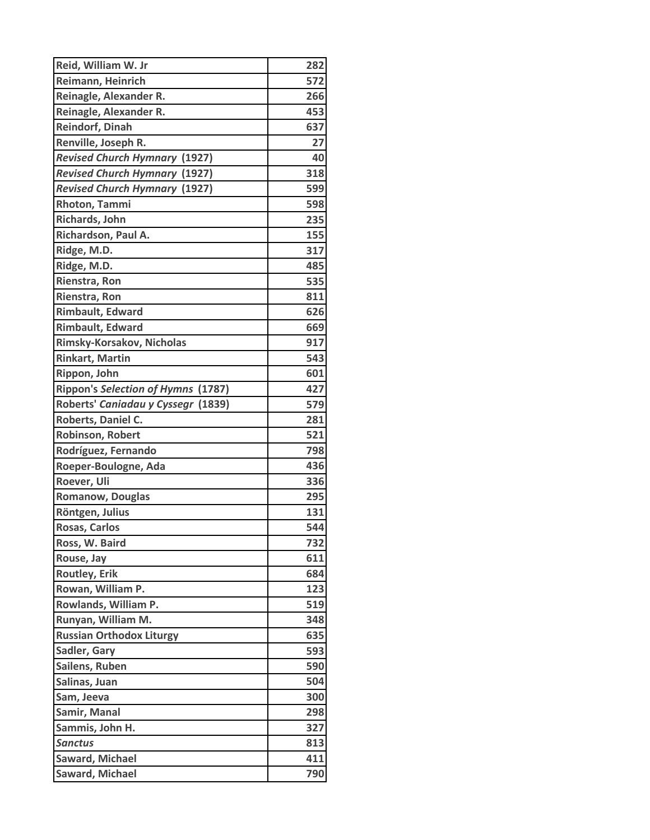| Reid, William W. Jr                  | 282 |
|--------------------------------------|-----|
| Reimann, Heinrich                    | 572 |
| Reinagle, Alexander R.               | 266 |
| Reinagle, Alexander R.               | 453 |
| <b>Reindorf, Dinah</b>               | 637 |
| Renville, Joseph R.                  | 27  |
| <b>Revised Church Hymnary (1927)</b> | 40  |
| <b>Revised Church Hymnary (1927)</b> | 318 |
| <b>Revised Church Hymnary (1927)</b> | 599 |
| Rhoton, Tammi                        | 598 |
| Richards, John                       | 235 |
| Richardson, Paul A.                  | 155 |
| Ridge, M.D.                          | 317 |
| Ridge, M.D.                          | 485 |
| Rienstra, Ron                        | 535 |
| Rienstra, Ron                        | 811 |
| <b>Rimbault, Edward</b>              | 626 |
| <b>Rimbault, Edward</b>              | 669 |
| Rimsky-Korsakov, Nicholas            | 917 |
| <b>Rinkart, Martin</b>               | 543 |
| Rippon, John                         | 601 |
| Rippon's Selection of Hymns (1787)   | 427 |
| Roberts' Caniadau y Cyssegr (1839)   | 579 |
| Roberts, Daniel C.                   | 281 |
| <b>Robinson, Robert</b>              | 521 |
| Rodríguez, Fernando                  | 798 |
| Roeper-Boulogne, Ada                 | 436 |
| Roever, Uli                          | 336 |
| Romanow, Douglas                     | 295 |
| Röntgen, Julius                      | 131 |
| <b>Rosas, Carlos</b>                 | 544 |
| Ross, W. Baird                       | 732 |
| Rouse, Jay                           | 611 |
| <b>Routley, Erik</b>                 | 684 |
| Rowan, William P.                    | 123 |
| Rowlands, William P.                 | 519 |
| Runyan, William M.                   | 348 |
| <b>Russian Orthodox Liturgy</b>      | 635 |
| Sadler, Gary                         | 593 |
| Sailens, Ruben                       | 590 |
| Salinas, Juan                        | 504 |
| Sam, Jeeva                           | 300 |
| Samir, Manal                         | 298 |
| Sammis, John H.                      | 327 |
| <b>Sanctus</b>                       | 813 |
| <b>Saward, Michael</b>               | 411 |
| Saward, Michael                      | 790 |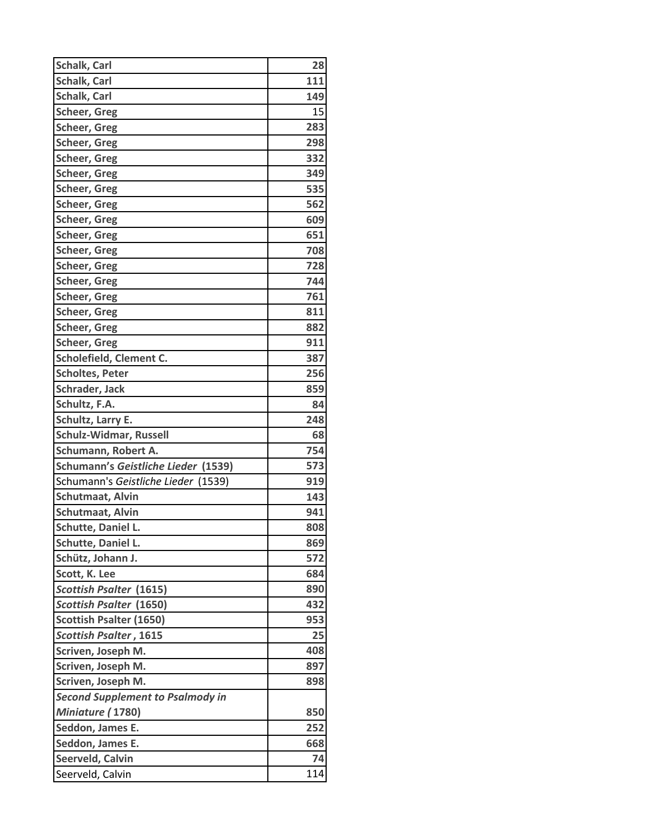| Schalk, Carl                            | 28  |
|-----------------------------------------|-----|
| <b>Schalk, Carl</b>                     | 111 |
| Schalk, Carl                            | 149 |
| <b>Scheer, Greg</b>                     | 15  |
| <b>Scheer, Greg</b>                     | 283 |
| <b>Scheer, Greg</b>                     | 298 |
| <b>Scheer, Greg</b>                     | 332 |
| <b>Scheer, Greg</b>                     | 349 |
| Scheer, Greg                            | 535 |
| <b>Scheer, Greg</b>                     | 562 |
| <b>Scheer, Greg</b>                     | 609 |
| <b>Scheer, Greg</b>                     | 651 |
| <b>Scheer, Greg</b>                     | 708 |
| <b>Scheer, Greg</b>                     | 728 |
| Scheer, Greg                            | 744 |
| <b>Scheer, Greg</b>                     | 761 |
| <b>Scheer, Greg</b>                     | 811 |
| <b>Scheer, Greg</b>                     | 882 |
| <b>Scheer, Greg</b>                     | 911 |
| Scholefield, Clement C.                 | 387 |
| <b>Scholtes, Peter</b>                  | 256 |
| Schrader, Jack                          | 859 |
| Schultz, F.A.                           | 84  |
| Schultz, Larry E.                       | 248 |
| Schulz-Widmar, Russell                  | 68  |
| Schumann, Robert A.                     | 754 |
| Schumann's Geistliche Lieder (1539)     | 573 |
| Schumann's Geistliche Lieder (1539)     | 919 |
| Schutmaat, Alvin                        | 143 |
| Schutmaat, Alvin                        | 941 |
| Schutte, Daniel L.                      | 808 |
| Schutte, Daniel L.                      | 869 |
| Schütz, Johann J.                       | 572 |
| Scott, K. Lee                           | 684 |
| <b>Scottish Psalter (1615)</b>          | 890 |
| <b>Scottish Psalter (1650)</b>          | 432 |
| <b>Scottish Psalter (1650)</b>          | 953 |
| <b>Scottish Psalter, 1615</b>           | 25  |
| Scriven, Joseph M.                      | 408 |
| Scriven, Joseph M.                      | 897 |
| Scriven, Joseph M.                      | 898 |
| <b>Second Supplement to Psalmody in</b> |     |
| Miniature (1780)                        | 850 |
| Seddon, James E.                        | 252 |
| Seddon, James E.                        | 668 |
| Seerveld, Calvin                        | 74  |
| Seerveld, Calvin                        | 114 |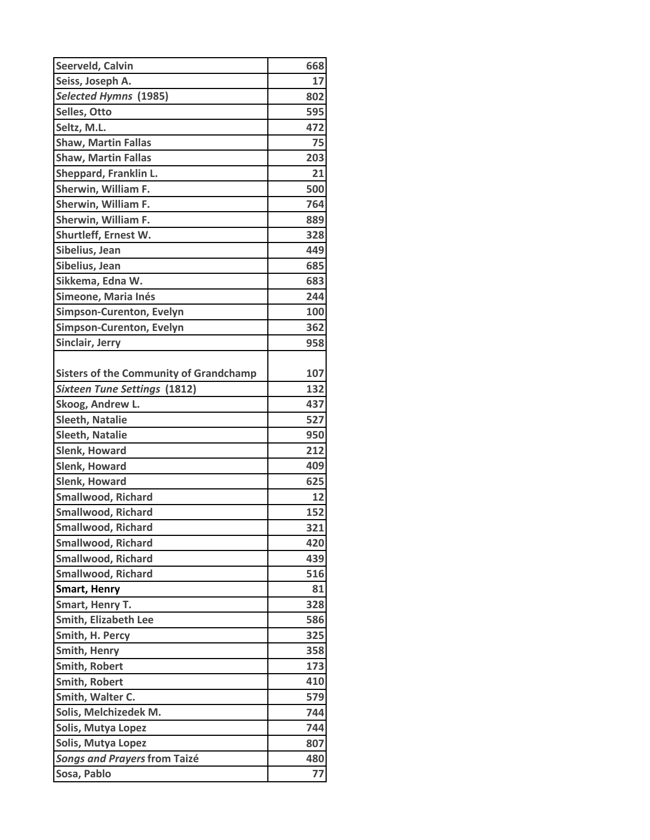| Seerveld, Calvin                              | 668 |
|-----------------------------------------------|-----|
| Seiss, Joseph A.                              | 17  |
| <b>Selected Hymns (1985)</b>                  | 802 |
| Selles, Otto                                  | 595 |
| Seltz, M.L.                                   | 472 |
| <b>Shaw, Martin Fallas</b>                    | 75  |
| <b>Shaw, Martin Fallas</b>                    | 203 |
| Sheppard, Franklin L.                         | 21  |
| Sherwin, William F.                           | 500 |
| Sherwin, William F.                           | 764 |
| Sherwin, William F.                           | 889 |
| Shurtleff, Ernest W.                          | 328 |
| Sibelius, Jean                                | 449 |
| Sibelius, Jean                                | 685 |
| Sikkema, Edna W.                              | 683 |
| Simeone, Maria Inés                           | 244 |
| <b>Simpson-Curenton, Evelyn</b>               | 100 |
| <b>Simpson-Curenton, Evelyn</b>               | 362 |
| Sinclair, Jerry                               | 958 |
|                                               |     |
| <b>Sisters of the Community of Grandchamp</b> | 107 |
| <b>Sixteen Tune Settings (1812)</b>           | 132 |
| Skoog, Andrew L.                              | 437 |
| <b>Sleeth, Natalie</b>                        | 527 |
| <b>Sleeth, Natalie</b>                        | 950 |
| <b>Slenk, Howard</b>                          | 212 |
| <b>Slenk, Howard</b>                          | 409 |
| Slenk, Howard                                 | 625 |
| <b>Smallwood, Richard</b>                     | 12  |
| <b>Smallwood, Richard</b>                     | 152 |
| <b>Smallwood, Richard</b>                     | 321 |
| <b>Smallwood, Richard</b>                     | 420 |
| <b>Smallwood, Richard</b>                     | 439 |
| <b>Smallwood, Richard</b>                     | 516 |
| <b>Smart, Henry</b>                           | 81  |
| Smart, Henry T.                               | 328 |
| <b>Smith, Elizabeth Lee</b>                   | 586 |
| Smith, H. Percy                               | 325 |
| <b>Smith, Henry</b>                           | 358 |
| Smith, Robert                                 | 173 |
| Smith, Robert                                 | 410 |
| Smith, Walter C.                              | 579 |
| Solis, Melchizedek M.                         | 744 |
| Solis, Mutya Lopez                            | 744 |
| Solis, Mutya Lopez                            | 807 |
| Songs and Prayers from Taizé                  | 480 |
| Sosa, Pablo                                   | 77  |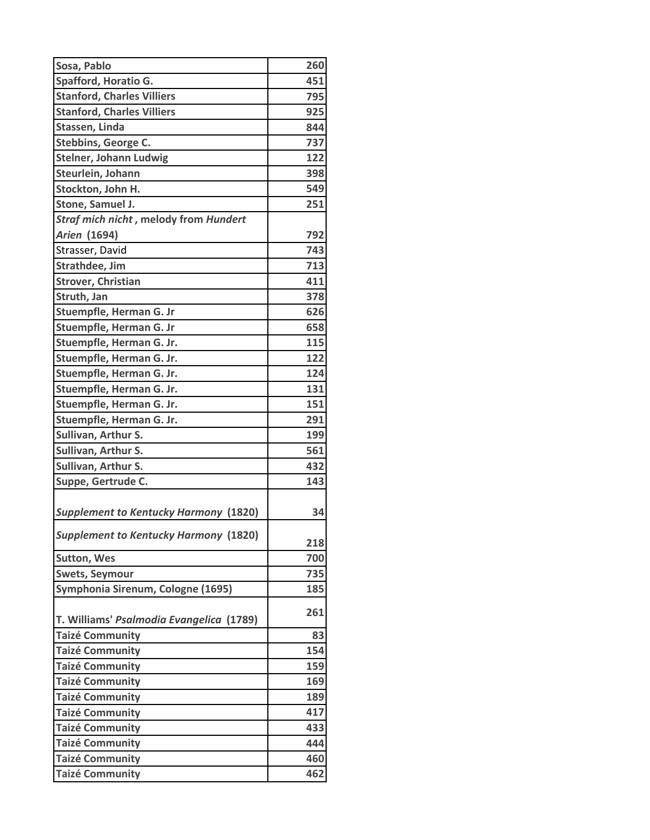| Sosa, Pablo                                  | 260 |
|----------------------------------------------|-----|
| Spafford, Horatio G.                         | 451 |
| <b>Stanford, Charles Villiers</b>            | 795 |
| <b>Stanford, Charles Villiers</b>            | 925 |
| Stassen, Linda                               | 844 |
| Stebbins, George C.                          | 737 |
| <b>Stelner, Johann Ludwig</b>                | 122 |
| Steurlein, Johann                            | 398 |
| Stockton, John H.                            | 549 |
| Stone, Samuel J.                             | 251 |
| Straf mich nicht, melody from Hundert        |     |
| Arien (1694)                                 | 792 |
| Strasser, David                              | 743 |
| Strathdee, Jim                               | 713 |
| <b>Strover, Christian</b>                    | 411 |
| Struth, Jan                                  | 378 |
| Stuempfle, Herman G. Jr                      | 626 |
| Stuempfle, Herman G. Jr                      | 658 |
| Stuempfle, Herman G. Jr.                     | 115 |
| Stuempfle, Herman G. Jr.                     | 122 |
| Stuempfle, Herman G. Jr.                     | 124 |
| Stuempfle, Herman G. Jr.                     | 131 |
| Stuempfle, Herman G. Jr.                     | 151 |
| Stuempfle, Herman G. Jr.                     | 291 |
| Sullivan, Arthur S.                          | 199 |
| Sullivan, Arthur S.                          | 561 |
| Sullivan, Arthur S.                          | 432 |
| Suppe, Gertrude C.                           | 143 |
|                                              |     |
| <b>Supplement to Kentucky Harmony (1820)</b> | 34  |
| <b>Supplement to Kentucky Harmony (1820)</b> | 218 |
| <b>Sutton, Wes</b>                           | 700 |
| <b>Swets, Seymour</b>                        | 735 |
| Symphonia Sirenum, Cologne (1695)            | 185 |
| T. Williams' Psalmodia Evangelica (1789)     | 261 |
| <b>Taizé Community</b>                       | 83  |
| <b>Taizé Community</b>                       | 154 |
| <b>Taizé Community</b>                       | 159 |
| <b>Taizé Community</b>                       | 169 |
| <b>Taizé Community</b>                       | 189 |
| <b>Taizé Community</b>                       | 417 |
| <b>Taizé Community</b>                       | 433 |
| <b>Taizé Community</b>                       | 444 |
| <b>Taizé Community</b>                       | 460 |
| <b>Taizé Community</b>                       | 462 |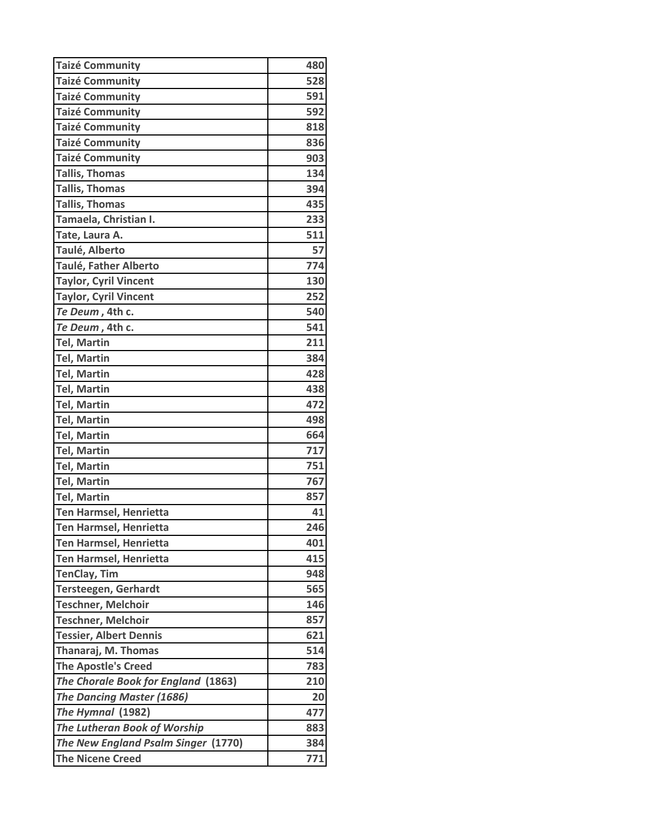| <b>Taizé Community</b>              | 480 |
|-------------------------------------|-----|
| <b>Taizé Community</b>              | 528 |
| <b>Taizé Community</b>              | 591 |
| <b>Taizé Community</b>              | 592 |
| <b>Taizé Community</b>              | 818 |
| <b>Taizé Community</b>              | 836 |
| <b>Taizé Community</b>              | 903 |
| <b>Tallis, Thomas</b>               | 134 |
| <b>Tallis, Thomas</b>               | 394 |
| <b>Tallis, Thomas</b>               | 435 |
| Tamaela, Christian I.               | 233 |
| Tate, Laura A.                      | 511 |
| Taulé, Alberto                      | 57  |
| Taulé, Father Alberto               | 774 |
| <b>Taylor, Cyril Vincent</b>        | 130 |
| <b>Taylor, Cyril Vincent</b>        | 252 |
| Te Deum, 4th c.                     | 540 |
| Te Deum, 4th c.                     | 541 |
| <b>Tel, Martin</b>                  | 211 |
| <b>Tel, Martin</b>                  | 384 |
| <b>Tel, Martin</b>                  | 428 |
| <b>Tel, Martin</b>                  | 438 |
| <b>Tel, Martin</b>                  | 472 |
| <b>Tel, Martin</b>                  | 498 |
| <b>Tel, Martin</b>                  | 664 |
| <b>Tel, Martin</b>                  | 717 |
| <b>Tel, Martin</b>                  | 751 |
| <b>Tel, Martin</b>                  | 767 |
| <b>Tel, Martin</b>                  | 857 |
| <b>Ten Harmsel, Henrietta</b>       | 41  |
| Ten Harmsel, Henrietta              | 246 |
| <b>Ten Harmsel, Henrietta</b>       | 401 |
| Ten Harmsel, Henrietta              | 415 |
| <b>TenClay, Tim</b>                 | 948 |
| <b>Tersteegen, Gerhardt</b>         | 565 |
| <b>Teschner, Melchoir</b>           | 146 |
| <b>Teschner, Melchoir</b>           | 857 |
| <b>Tessier, Albert Dennis</b>       | 621 |
| Thanaraj, M. Thomas                 | 514 |
| <b>The Apostle's Creed</b>          | 783 |
| The Chorale Book for England (1863) | 210 |
| <b>The Dancing Master (1686)</b>    | 20  |
| The Hymnal (1982)                   | 477 |
| <b>The Lutheran Book of Worship</b> | 883 |
| The New England Psalm Singer (1770) | 384 |
| <b>The Nicene Creed</b>             | 771 |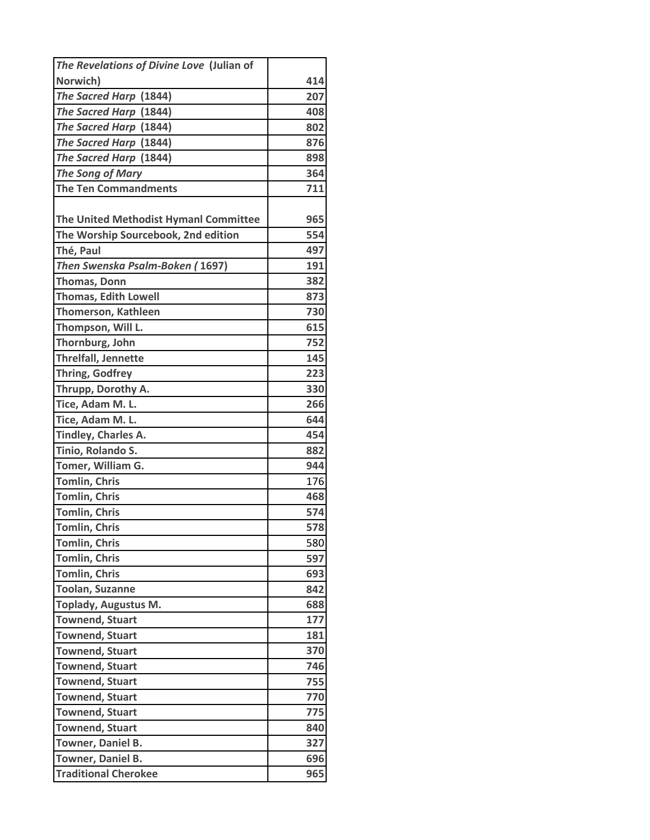| The Revelations of Divine Love (Julian of |     |
|-------------------------------------------|-----|
| Norwich)                                  | 414 |
| The Sacred Harp (1844)                    | 207 |
| The Sacred Harp (1844)                    | 408 |
| The Sacred Harp (1844)                    | 802 |
| The Sacred Harp (1844)                    | 876 |
| The Sacred Harp (1844)                    | 898 |
| <b>The Song of Mary</b>                   | 364 |
| <b>The Ten Commandments</b>               | 711 |
|                                           |     |
| The United Methodist Hymanl Committee     | 965 |
| The Worship Sourcebook, 2nd edition       | 554 |
| Thé, Paul                                 | 497 |
| Then Swenska Psalm-Boken (1697)           | 191 |
| <b>Thomas, Donn</b>                       | 382 |
| <b>Thomas, Edith Lowell</b>               | 873 |
| <b>Thomerson, Kathleen</b>                | 730 |
| Thompson, Will L.                         | 615 |
| Thornburg, John                           | 752 |
| Threlfall, Jennette                       | 145 |
| <b>Thring, Godfrey</b>                    | 223 |
| Thrupp, Dorothy A.                        | 330 |
| Tice, Adam M. L.                          | 266 |
| Tice, Adam M. L.                          | 644 |
| Tindley, Charles A.                       | 454 |
| Tinio, Rolando S.                         | 882 |
| Tomer, William G.                         | 944 |
| <b>Tomlin, Chris</b>                      | 176 |
| <b>Tomlin, Chris</b>                      | 468 |
| <b>Tomlin, Chris</b>                      | 574 |
| <b>Tomlin, Chris</b>                      | 578 |
| <b>Tomlin, Chris</b>                      | 580 |
| <b>Tomlin, Chris</b>                      | 597 |
| <b>Tomlin, Chris</b>                      | 693 |
| <b>Toolan, Suzanne</b>                    | 842 |
| <b>Toplady, Augustus M.</b>               | 688 |
| <b>Townend, Stuart</b>                    | 177 |
| <b>Townend, Stuart</b>                    | 181 |
| <b>Townend, Stuart</b>                    | 370 |
| <b>Townend, Stuart</b>                    | 746 |
| <b>Townend, Stuart</b>                    | 755 |
| <b>Townend, Stuart</b>                    | 770 |
| <b>Townend, Stuart</b>                    | 775 |
| <b>Townend, Stuart</b>                    | 840 |
| Towner, Daniel B.                         | 327 |
| Towner, Daniel B.                         | 696 |
| <b>Traditional Cherokee</b>               | 965 |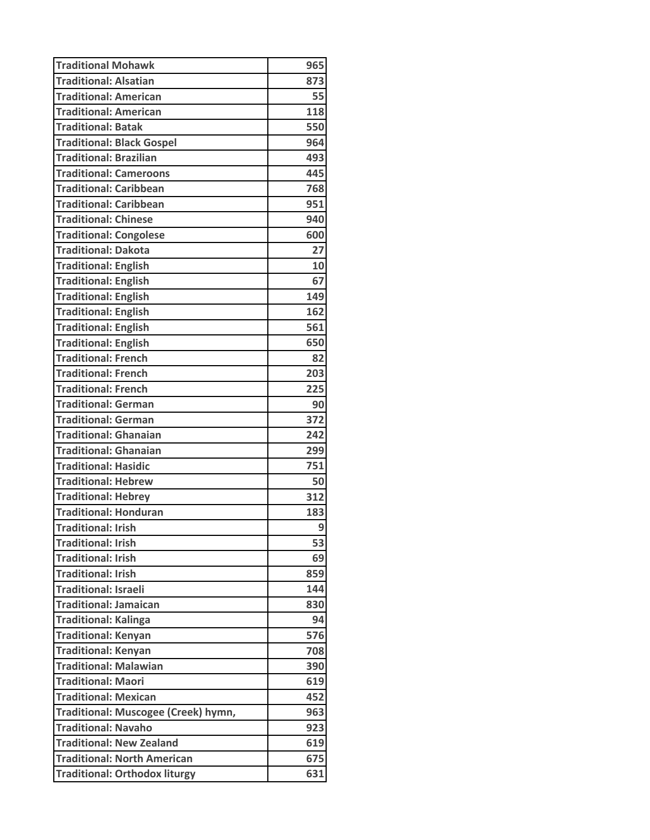| <b>Traditional Mohawk</b>            | 965 |
|--------------------------------------|-----|
| <b>Traditional: Alsatian</b>         | 873 |
| <b>Traditional: American</b>         | 55  |
| <b>Traditional: American</b>         | 118 |
| <b>Traditional: Batak</b>            | 550 |
| <b>Traditional: Black Gospel</b>     | 964 |
| <b>Traditional: Brazilian</b>        | 493 |
| <b>Traditional: Cameroons</b>        | 445 |
| <b>Traditional: Caribbean</b>        | 768 |
| <b>Traditional: Caribbean</b>        | 951 |
| <b>Traditional: Chinese</b>          | 940 |
| <b>Traditional: Congolese</b>        | 600 |
| <b>Traditional: Dakota</b>           | 27  |
| <b>Traditional: English</b>          | 10  |
| <b>Traditional: English</b>          | 67  |
| <b>Traditional: English</b>          | 149 |
| <b>Traditional: English</b>          | 162 |
| <b>Traditional: English</b>          | 561 |
| <b>Traditional: English</b>          | 650 |
| <b>Traditional: French</b>           | 82  |
| <b>Traditional: French</b>           | 203 |
| <b>Traditional: French</b>           | 225 |
| <b>Traditional: German</b>           | 90  |
| <b>Traditional: German</b>           | 372 |
| <b>Traditional: Ghanaian</b>         | 242 |
| <b>Traditional: Ghanaian</b>         | 299 |
| <b>Traditional: Hasidic</b>          | 751 |
| <b>Traditional: Hebrew</b>           | 50  |
| <b>Traditional: Hebrey</b>           | 312 |
| <b>Traditional: Honduran</b>         | 183 |
| <b>Traditional: Irish</b>            | 9   |
| <b>Traditional: Irish</b>            | 53  |
| <b>Traditional: Irish</b>            | 69  |
| <b>Traditional: Irish</b>            | 859 |
| <b>Traditional: Israeli</b>          | 144 |
| <b>Traditional: Jamaican</b>         | 830 |
| <b>Traditional: Kalinga</b>          | 94  |
| <b>Traditional: Kenyan</b>           | 576 |
| <b>Traditional: Kenyan</b>           | 708 |
| <b>Traditional: Malawian</b>         | 390 |
| Traditional: Maori                   | 619 |
| <b>Traditional: Mexican</b>          | 452 |
| Traditional: Muscogee (Creek) hymn,  | 963 |
| <b>Traditional: Navaho</b>           | 923 |
| <b>Traditional: New Zealand</b>      | 619 |
| <b>Traditional: North American</b>   | 675 |
| <b>Traditional: Orthodox liturgy</b> | 631 |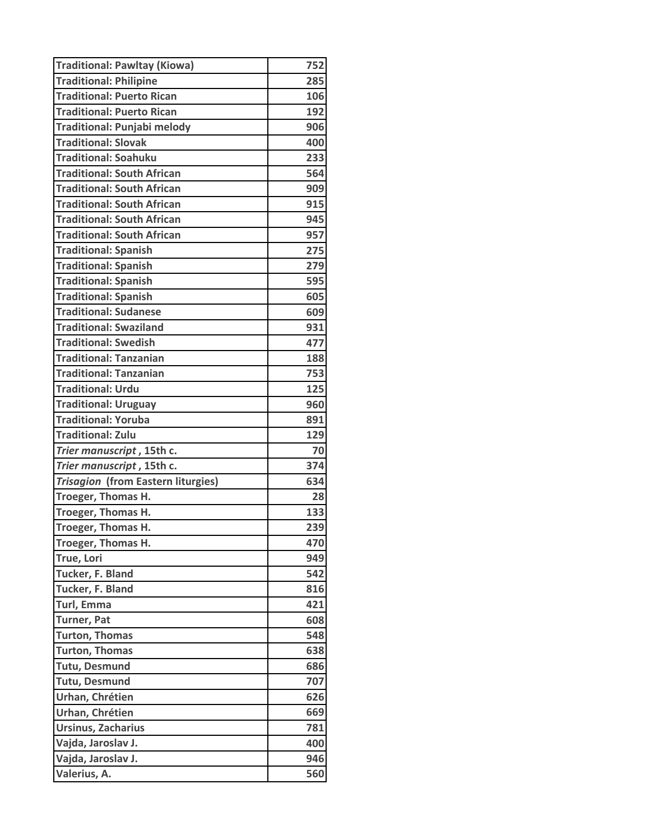| <b>Traditional: Pawltay (Kiowa)</b> | 752 |
|-------------------------------------|-----|
| <b>Traditional: Philipine</b>       | 285 |
| <b>Traditional: Puerto Rican</b>    | 106 |
| <b>Traditional: Puerto Rican</b>    | 192 |
| <b>Traditional: Punjabi melody</b>  | 906 |
| <b>Traditional: Slovak</b>          | 400 |
| <b>Traditional: Soahuku</b>         | 233 |
| <b>Traditional: South African</b>   | 564 |
| <b>Traditional: South African</b>   | 909 |
| <b>Traditional: South African</b>   | 915 |
| <b>Traditional: South African</b>   | 945 |
| <b>Traditional: South African</b>   | 957 |
| <b>Traditional: Spanish</b>         | 275 |
| <b>Traditional: Spanish</b>         | 279 |
| <b>Traditional: Spanish</b>         | 595 |
| <b>Traditional: Spanish</b>         | 605 |
| <b>Traditional: Sudanese</b>        | 609 |
| <b>Traditional: Swaziland</b>       | 931 |
| <b>Traditional: Swedish</b>         | 477 |
| <b>Traditional: Tanzanian</b>       | 188 |
| <b>Traditional: Tanzanian</b>       | 753 |
| <b>Traditional: Urdu</b>            | 125 |
| <b>Traditional: Uruguay</b>         | 960 |
| <b>Traditional: Yoruba</b>          | 891 |
| <b>Traditional: Zulu</b>            | 129 |
| Trier manuscript, 15th c.           | 70  |
| Trier manuscript, 15th c.           | 374 |
| Trisagion (from Eastern liturgies)  | 634 |
| Troeger, Thomas H.                  | 28  |
| Troeger, Thomas H.                  | 133 |
| Troeger, Thomas H.                  | 239 |
| Troeger, Thomas H.                  | 470 |
| True, Lori                          | 949 |
| Tucker, F. Bland                    | 542 |
| Tucker, F. Bland                    | 816 |
| Turl, Emma                          | 421 |
| Turner, Pat                         | 608 |
| <b>Turton, Thomas</b>               | 548 |
| <b>Turton, Thomas</b>               | 638 |
| <b>Tutu, Desmund</b>                | 686 |
| <b>Tutu, Desmund</b>                | 707 |
| Urhan, Chrétien                     | 626 |
| Urhan, Chrétien                     | 669 |
| <b>Ursinus, Zacharius</b>           | 781 |
| Vajda, Jaroslav J.                  | 400 |
| Vajda, Jaroslav J.                  | 946 |
| Valerius, A.                        | 560 |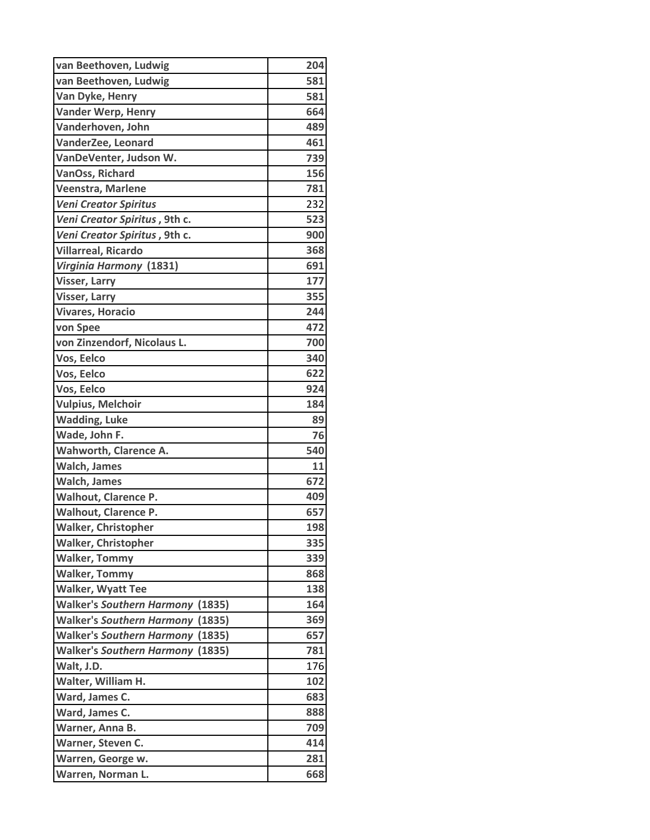| van Beethoven, Ludwig                   | 204 |
|-----------------------------------------|-----|
| van Beethoven, Ludwig                   | 581 |
| Van Dyke, Henry                         | 581 |
| <b>Vander Werp, Henry</b>               | 664 |
| Vanderhoven, John                       | 489 |
| VanderZee, Leonard                      | 461 |
| VanDeVenter, Judson W.                  | 739 |
| VanOss, Richard                         | 156 |
| Veenstra, Marlene                       | 781 |
| <b>Veni Creator Spiritus</b>            | 232 |
| Veni Creator Spiritus, 9th c.           | 523 |
| Veni Creator Spiritus, 9th c.           | 900 |
| <b>Villarreal, Ricardo</b>              | 368 |
| Virginia Harmony (1831)                 | 691 |
| <b>Visser, Larry</b>                    | 177 |
| <b>Visser, Larry</b>                    | 355 |
| <b>Vivares, Horacio</b>                 | 244 |
| von Spee                                | 472 |
| von Zinzendorf, Nicolaus L.             | 700 |
| Vos, Eelco                              | 340 |
| Vos, Eelco                              | 622 |
| Vos, Eelco                              | 924 |
| <b>Vulpius, Melchoir</b>                | 184 |
| <b>Wadding, Luke</b>                    | 89  |
| Wade, John F.                           | 76  |
| Wahworth, Clarence A.                   | 540 |
| <b>Walch, James</b>                     | 11  |
| <b>Walch, James</b>                     | 672 |
| <b>Walhout, Clarence P.</b>             | 409 |
| <b>Walhout, Clarence P.</b>             | 657 |
| <b>Walker, Christopher</b>              | 198 |
| <b>Walker, Christopher</b>              | 335 |
| <b>Walker, Tommy</b>                    | 339 |
| <b>Walker, Tommy</b>                    | 868 |
| <b>Walker, Wyatt Tee</b>                | 138 |
| <b>Walker's Southern Harmony (1835)</b> | 164 |
| <b>Walker's Southern Harmony (1835)</b> | 369 |
| <b>Walker's Southern Harmony (1835)</b> | 657 |
| <b>Walker's Southern Harmony (1835)</b> | 781 |
| Walt, J.D.                              | 176 |
| Walter, William H.                      | 102 |
| Ward, James C.                          | 683 |
| Ward, James C.                          | 888 |
| Warner, Anna B.                         | 709 |
| Warner, Steven C.                       | 414 |
| Warren, George w.                       | 281 |
| Warren, Norman L.                       | 668 |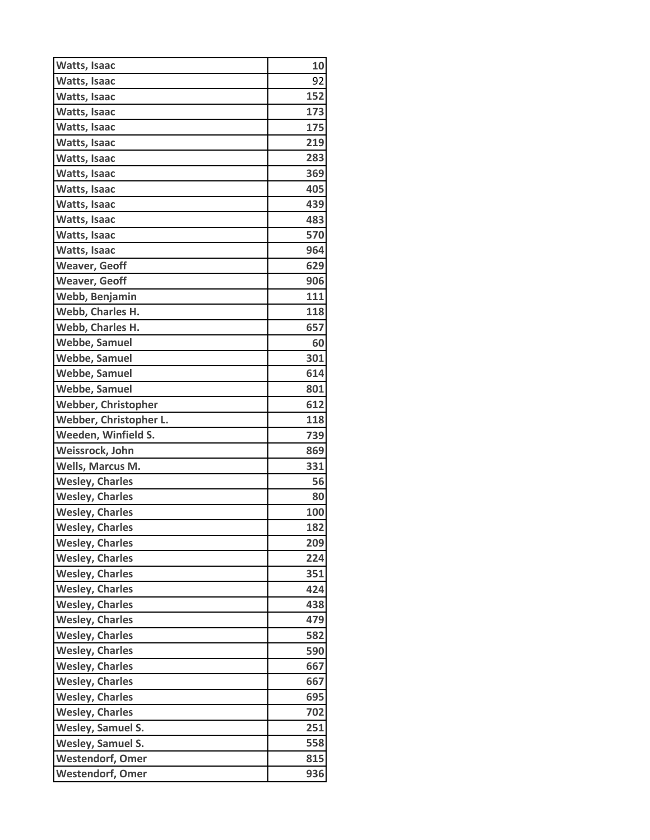| Watts, Isaac               | 10         |
|----------------------------|------------|
| Watts, Isaac               | 92         |
| Watts, Isaac               | 152        |
| Watts, Isaac               | 173        |
| Watts, Isaac               | 175        |
| Watts, Isaac               | 219        |
| Watts, Isaac               | 283        |
| Watts, Isaac               | 369        |
| Watts, Isaac               | 405        |
| Watts, Isaac               | 439        |
| <b>Watts, Isaac</b>        | 483        |
| Watts, Isaac               | 570        |
| Watts, Isaac               | 964        |
| <b>Weaver, Geoff</b>       | 629        |
| <b>Weaver, Geoff</b>       | 906        |
| Webb, Benjamin             | 111        |
| Webb, Charles H.           | 118        |
| Webb, Charles H.           | 657        |
| <b>Webbe, Samuel</b>       | 60         |
| <b>Webbe, Samuel</b>       | 301        |
| <b>Webbe, Samuel</b>       | 614        |
| Webbe, Samuel              | 801        |
| <b>Webber, Christopher</b> | 612        |
| Webber, Christopher L.     | 118        |
| Weeden, Winfield S.        | 739        |
| Weissrock, John            | 869        |
| Wells, Marcus M.           | 331        |
| <b>Wesley, Charles</b>     | 56         |
| <b>Wesley, Charles</b>     | 80         |
| <b>Wesley, Charles</b>     | <b>100</b> |
| <b>Wesley, Charles</b>     | 182        |
| <b>Wesley, Charles</b>     | 209        |
| <b>Wesley, Charles</b>     | 224        |
| <b>Wesley, Charles</b>     | 351        |
| <b>Wesley, Charles</b>     | 424        |
| <b>Wesley, Charles</b>     | 438        |
| <b>Wesley, Charles</b>     | 479        |
| <b>Wesley, Charles</b>     | 582        |
| <b>Wesley, Charles</b>     | 590        |
| <b>Wesley, Charles</b>     | 667        |
| <b>Wesley, Charles</b>     | 667        |
| <b>Wesley, Charles</b>     | 695        |
| <b>Wesley, Charles</b>     | 702        |
| Wesley, Samuel S.          | 251        |
| Wesley, Samuel S.          | 558        |
| <b>Westendorf, Omer</b>    | 815        |
| <b>Westendorf, Omer</b>    | 936        |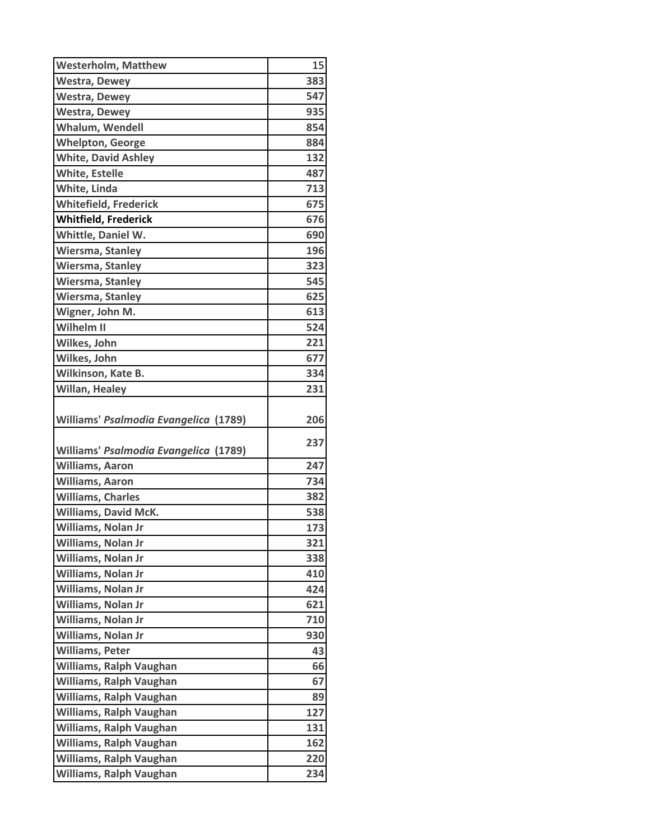| <b>Westerholm, Matthew</b>            | 15  |
|---------------------------------------|-----|
| <b>Westra, Dewey</b>                  | 383 |
| <b>Westra, Dewey</b>                  | 547 |
| <b>Westra, Dewey</b>                  | 935 |
| <b>Whalum, Wendell</b>                | 854 |
| <b>Whelpton, George</b>               | 884 |
| <b>White, David Ashley</b>            | 132 |
| <b>White, Estelle</b>                 | 487 |
| White, Linda                          | 713 |
| <b>Whitefield, Frederick</b>          | 675 |
| <b>Whitfield, Frederick</b>           | 676 |
| Whittle, Daniel W.                    | 690 |
| <b>Wiersma, Stanley</b>               | 196 |
| <b>Wiersma, Stanley</b>               | 323 |
| <b>Wiersma, Stanley</b>               | 545 |
| <b>Wiersma, Stanley</b>               | 625 |
| Wigner, John M.                       | 613 |
| Wilhelm II                            | 524 |
| Wilkes, John                          | 221 |
| Wilkes, John                          | 677 |
| Wilkinson, Kate B.                    | 334 |
| <b>Willan, Healey</b>                 | 231 |
| Williams' Psalmodia Evangelica (1789) | 206 |
|                                       |     |
| Williams' Psalmodia Evangelica (1789) | 237 |
| Williams, Aaron                       | 247 |
| <b>Williams, Aaron</b>                | 734 |
| <b>Williams, Charles</b>              | 382 |
| <b>Williams, David McK.</b>           | 538 |
| Williams, Nolan Jr                    | 173 |
| Williams, Nolan Jr                    | 321 |
| Williams, Nolan Jr                    | 338 |
| Williams, Nolan Jr                    | 410 |
| Williams, Nolan Jr                    | 424 |
| Williams, Nolan Jr                    | 621 |
| Williams, Nolan Jr                    | 710 |
| Williams, Nolan Jr                    | 930 |
| <b>Williams, Peter</b>                | 43  |
| <b>Williams, Ralph Vaughan</b>        | 66  |
| <b>Williams, Ralph Vaughan</b>        | 67  |
| <b>Williams, Ralph Vaughan</b>        | 89  |
| <b>Williams, Ralph Vaughan</b>        | 127 |
| Williams, Ralph Vaughan               | 131 |
| Williams, Ralph Vaughan               | 162 |
| <b>Williams, Ralph Vaughan</b>        | 220 |
| Williams, Ralph Vaughan               | 234 |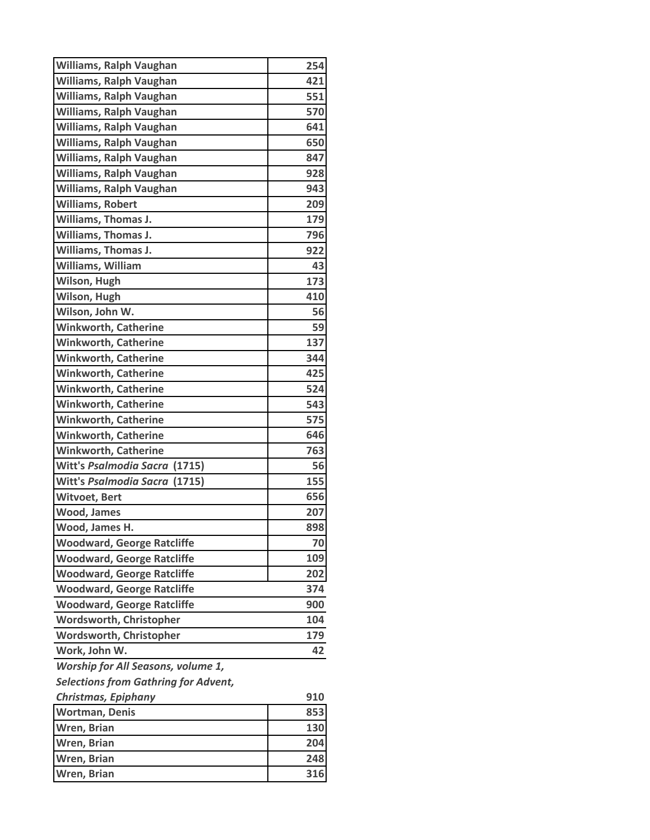| Williams, Ralph Vaughan                     | 254 |
|---------------------------------------------|-----|
| <b>Williams, Ralph Vaughan</b>              | 421 |
| Williams, Ralph Vaughan                     | 551 |
| <b>Williams, Ralph Vaughan</b>              | 570 |
| <b>Williams, Ralph Vaughan</b>              | 641 |
| Williams, Ralph Vaughan                     | 650 |
| Williams, Ralph Vaughan                     | 847 |
| Williams, Ralph Vaughan                     | 928 |
| Williams, Ralph Vaughan                     | 943 |
| <b>Williams, Robert</b>                     | 209 |
| <b>Williams, Thomas J.</b>                  | 179 |
| Williams, Thomas J.                         | 796 |
| <b>Williams, Thomas J.</b>                  | 922 |
| Williams, William                           | 43  |
| Wilson, Hugh                                | 173 |
| Wilson, Hugh                                | 410 |
| Wilson, John W.                             | 56  |
| <b>Winkworth, Catherine</b>                 | 59  |
| <b>Winkworth, Catherine</b>                 | 137 |
| <b>Winkworth, Catherine</b>                 | 344 |
| <b>Winkworth, Catherine</b>                 | 425 |
| <b>Winkworth, Catherine</b>                 | 524 |
| <b>Winkworth, Catherine</b>                 | 543 |
| <b>Winkworth, Catherine</b>                 | 575 |
| <b>Winkworth, Catherine</b>                 | 646 |
| <b>Winkworth, Catherine</b>                 | 763 |
| Witt's Psalmodia Sacra (1715)               | 56  |
| Witt's Psalmodia Sacra (1715)               | 155 |
| <b>Witvoet, Bert</b>                        | 656 |
| <b>Wood, James</b>                          | 207 |
| Wood, James H.                              | 898 |
| <b>Woodward, George Ratcliffe</b>           | 70  |
| <b>Woodward, George Ratcliffe</b>           | 109 |
| <b>Woodward, George Ratcliffe</b>           | 202 |
| <b>Woodward, George Ratcliffe</b>           | 374 |
| <b>Woodward, George Ratcliffe</b>           | 900 |
| Wordsworth, Christopher                     | 104 |
| Wordsworth, Christopher                     | 179 |
| Work, John W.                               | 42  |
| Worship for All Seasons, volume 1,          |     |
| <b>Selections from Gathring for Advent,</b> |     |
| Christmas, Epiphany                         | 910 |
| <b>Wortman, Denis</b>                       | 853 |
| Wren, Brian                                 | 130 |
| Wren, Brian                                 | 204 |
| Wren, Brian                                 | 248 |
| Wren, Brian                                 | 316 |
|                                             |     |